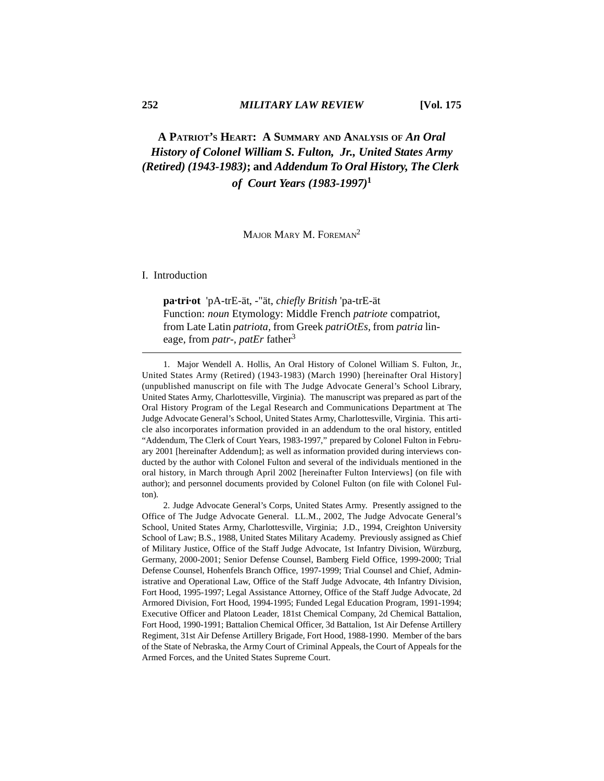# **A PATRIOT'S HEART: A SUMMARY AND ANALYSIS OF** *An Oral History of Colonel William S. Fulton, Jr., United States Army (Retired) (1943-1983)***; and** *Addendum To Oral History, The Clerk of Court Years (1983-1997)***<sup>1</sup>**

MAJOR MARY M. FOREMAN<sup>2</sup>

# I. Introduction

**pa·tri·ot** 'pA-trE-ät, -"ät, *chiefly British* 'pa-trE-ät Function: *noun* Etymology: Middle French *patriote* compatriot, from Late Latin *patriota,* from Greek *patriOtEs,* from *patria* lineage, from *patr-, patEr* father3

1. Major Wendell A. Hollis, An Oral History of Colonel William S. Fulton, Jr., United States Army (Retired) (1943-1983) (March 1990) [hereinafter Oral History] (unpublished manuscript on file with The Judge Advocate General's School Library, United States Army, Charlottesville, Virginia). The manuscript was prepared as part of the Oral History Program of the Legal Research and Communications Department at The Judge Advocate General's School, United States Army, Charlottesville, Virginia. This article also incorporates information provided in an addendum to the oral history, entitled "Addendum, The Clerk of Court Years, 1983-1997," prepared by Colonel Fulton in February 2001 [hereinafter Addendum]; as well as information provided during interviews conducted by the author with Colonel Fulton and several of the individuals mentioned in the oral history, in March through April 2002 [hereinafter Fulton Interviews] (on file with author); and personnel documents provided by Colonel Fulton (on file with Colonel Fulton).

2. Judge Advocate General's Corps, United States Army. Presently assigned to the Office of The Judge Advocate General. LL.M., 2002, The Judge Advocate General's School, United States Army, Charlottesville, Virginia; J.D., 1994, Creighton University School of Law; B.S., 1988, United States Military Academy. Previously assigned as Chief of Military Justice, Office of the Staff Judge Advocate, 1st Infantry Division, Würzburg, Germany, 2000-2001; Senior Defense Counsel, Bamberg Field Office, 1999-2000; Trial Defense Counsel, Hohenfels Branch Office, 1997-1999; Trial Counsel and Chief, Administrative and Operational Law, Office of the Staff Judge Advocate, 4th Infantry Division, Fort Hood, 1995-1997; Legal Assistance Attorney, Office of the Staff Judge Advocate, 2d Armored Division, Fort Hood, 1994-1995; Funded Legal Education Program, 1991-1994; Executive Officer and Platoon Leader, 181st Chemical Company, 2d Chemical Battalion, Fort Hood, 1990-1991; Battalion Chemical Officer, 3d Battalion, 1st Air Defense Artillery Regiment, 31st Air Defense Artillery Brigade, Fort Hood, 1988-1990. Member of the bars of the State of Nebraska, the Army Court of Criminal Appeals, the Court of Appeals for the Armed Forces, and the United States Supreme Court.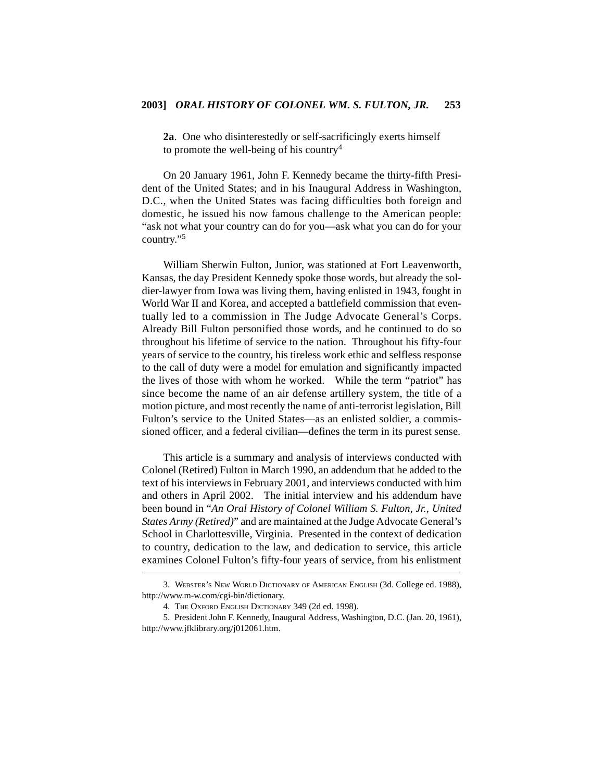**2a**. One who disinterestedly or self-sacrificingly exerts himself to promote the well-being of his country<sup>4</sup>

On 20 January 1961, John F. Kennedy became the thirty-fifth President of the United States; and in his Inaugural Address in Washington, D.C., when the United States was facing difficulties both foreign and domestic, he issued his now famous challenge to the American people: "ask not what your country can do for you—ask what you can do for your country."<sup>5</sup>

William Sherwin Fulton, Junior, was stationed at Fort Leavenworth, Kansas, the day President Kennedy spoke those words, but already the soldier-lawyer from Iowa was living them, having enlisted in 1943, fought in World War II and Korea, and accepted a battlefield commission that eventually led to a commission in The Judge Advocate General's Corps. Already Bill Fulton personified those words, and he continued to do so throughout his lifetime of service to the nation. Throughout his fifty-four years of service to the country, his tireless work ethic and selfless response to the call of duty were a model for emulation and significantly impacted the lives of those with whom he worked. While the term "patriot" has since become the name of an air defense artillery system, the title of a motion picture, and most recently the name of anti-terrorist legislation, Bill Fulton's service to the United States—as an enlisted soldier, a commissioned officer, and a federal civilian—defines the term in its purest sense.

This article is a summary and analysis of interviews conducted with Colonel (Retired) Fulton in March 1990, an addendum that he added to the text of his interviews in February 2001, and interviews conducted with him and others in April 2002. The initial interview and his addendum have been bound in "*An Oral History of Colonel William S. Fulton, Jr., United States Army (Retired)*" and are maintained at the Judge Advocate General's School in Charlottesville, Virginia. Presented in the context of dedication to country, dedication to the law, and dedication to service, this article examines Colonel Fulton's fifty-four years of service, from his enlistment

<sup>3.</sup> WEBSTER'S NEW WORLD DICTIONARY OF AMERICAN ENGLISH (3d. College ed. 1988), http://www.m-w.com/cgi-bin/dictionary.

<sup>4.</sup> THE OXFORD ENGLISH DICTIONARY 349 (2d ed. 1998).

<sup>5.</sup> President John F. Kennedy, Inaugural Address, Washington, D.C. (Jan. 20, 1961), http://www.jfklibrary.org/j012061.htm.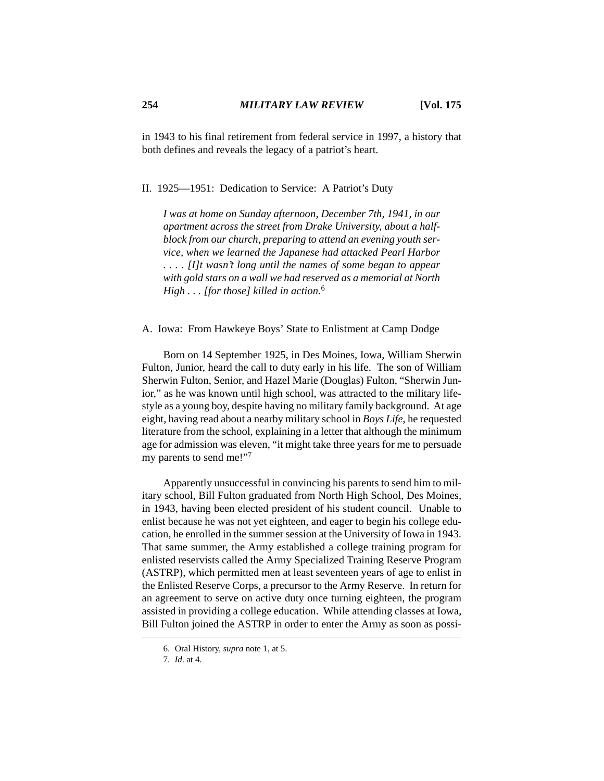in 1943 to his final retirement from federal service in 1997, a history that both defines and reveals the legacy of a patriot's heart.

II. 1925—1951: Dedication to Service: A Patriot's Duty

*I was at home on Sunday afternoon, December 7th, 1941, in our apartment across the street from Drake University, about a halfblock from our church, preparing to attend an evening youth service, when we learned the Japanese had attacked Pearl Harbor . . . . [I]t wasn't long until the names of some began to appear with gold stars on a wall we had reserved as a memorial at North High . . . [for those] killed in action.*<sup>6</sup>

A. Iowa: From Hawkeye Boys' State to Enlistment at Camp Dodge

Born on 14 September 1925, in Des Moines, Iowa, William Sherwin Fulton, Junior, heard the call to duty early in his life. The son of William Sherwin Fulton, Senior, and Hazel Marie (Douglas) Fulton, "Sherwin Junior," as he was known until high school, was attracted to the military lifestyle as a young boy, despite having no military family background. At age eight, having read about a nearby military school in *Boys Life*, he requested literature from the school, explaining in a letter that although the minimum age for admission was eleven, "it might take three years for me to persuade my parents to send me!"7

Apparently unsuccessful in convincing his parents to send him to military school, Bill Fulton graduated from North High School, Des Moines, in 1943, having been elected president of his student council. Unable to enlist because he was not yet eighteen, and eager to begin his college education, he enrolled in the summer session at the University of Iowa in 1943. That same summer, the Army established a college training program for enlisted reservists called the Army Specialized Training Reserve Program (ASTRP), which permitted men at least seventeen years of age to enlist in the Enlisted Reserve Corps, a precursor to the Army Reserve. In return for an agreement to serve on active duty once turning eighteen, the program assisted in providing a college education. While attending classes at Iowa, Bill Fulton joined the ASTRP in order to enter the Army as soon as possi-

<sup>6.</sup> Oral History, *supra* note 1, at 5.

<sup>7.</sup> *Id*. at 4.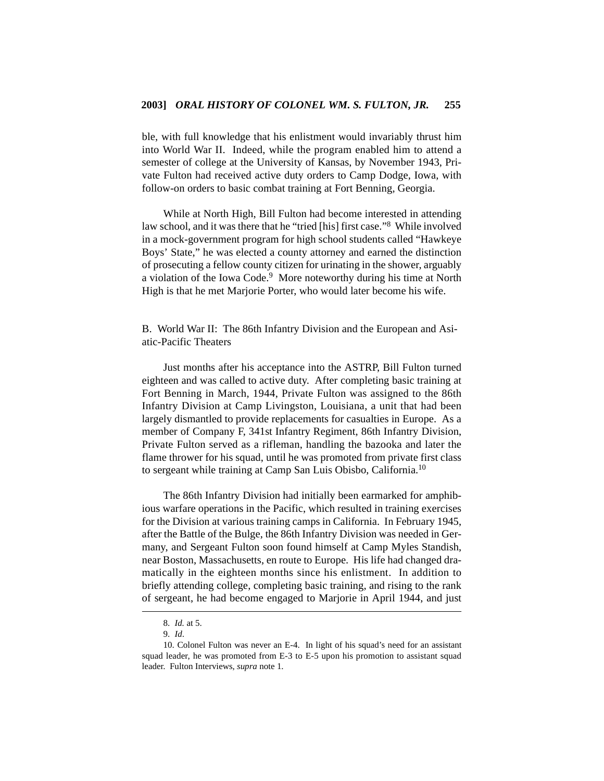ble, with full knowledge that his enlistment would invariably thrust him into World War II. Indeed, while the program enabled him to attend a semester of college at the University of Kansas, by November 1943, Private Fulton had received active duty orders to Camp Dodge, Iowa, with follow-on orders to basic combat training at Fort Benning, Georgia.

While at North High, Bill Fulton had become interested in attending law school, and it was there that he "tried [his] first case."8 While involved in a mock-government program for high school students called "Hawkeye Boys' State," he was elected a county attorney and earned the distinction of prosecuting a fellow county citizen for urinating in the shower, arguably a violation of the Iowa Code.<sup>9</sup> More noteworthy during his time at North High is that he met Marjorie Porter, who would later become his wife.

B. World War II: The 86th Infantry Division and the European and Asiatic-Pacific Theaters

Just months after his acceptance into the ASTRP, Bill Fulton turned eighteen and was called to active duty. After completing basic training at Fort Benning in March, 1944, Private Fulton was assigned to the 86th Infantry Division at Camp Livingston, Louisiana, a unit that had been largely dismantled to provide replacements for casualties in Europe. As a member of Company F, 341st Infantry Regiment, 86th Infantry Division, Private Fulton served as a rifleman, handling the bazooka and later the flame thrower for his squad, until he was promoted from private first class to sergeant while training at Camp San Luis Obisbo, California.10

The 86th Infantry Division had initially been earmarked for amphibious warfare operations in the Pacific, which resulted in training exercises for the Division at various training camps in California. In February 1945, after the Battle of the Bulge, the 86th Infantry Division was needed in Germany, and Sergeant Fulton soon found himself at Camp Myles Standish, near Boston, Massachusetts, en route to Europe. His life had changed dramatically in the eighteen months since his enlistment. In addition to briefly attending college, completing basic training, and rising to the rank of sergeant, he had become engaged to Marjorie in April 1944, and just

<sup>8.</sup> *Id.* at 5.

<sup>9.</sup> *Id*.

<sup>10.</sup> Colonel Fulton was never an E-4. In light of his squad's need for an assistant squad leader, he was promoted from E-3 to E-5 upon his promotion to assistant squad leader. Fulton Interviews, *supra* note 1.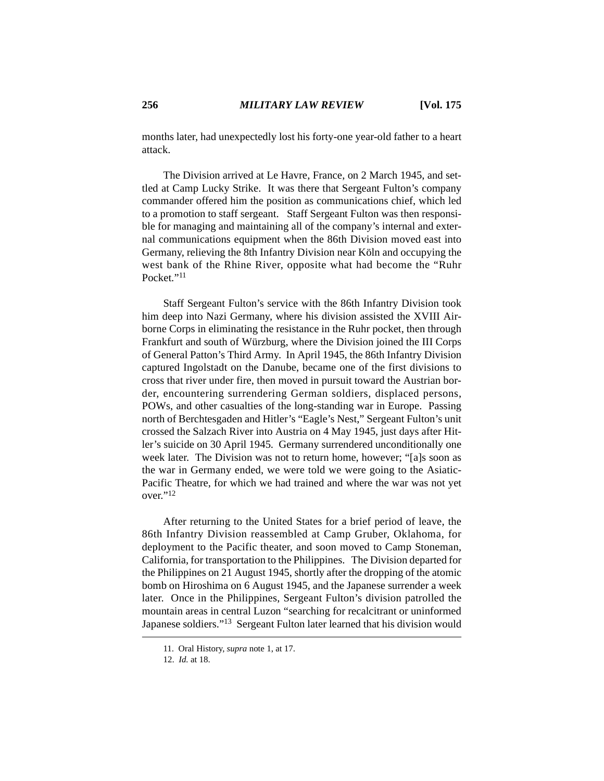months later, had unexpectedly lost his forty-one year-old father to a heart attack.

The Division arrived at Le Havre, France, on 2 March 1945, and settled at Camp Lucky Strike. It was there that Sergeant Fulton's company commander offered him the position as communications chief, which led to a promotion to staff sergeant. Staff Sergeant Fulton was then responsible for managing and maintaining all of the company's internal and external communications equipment when the 86th Division moved east into Germany, relieving the 8th Infantry Division near Köln and occupying the west bank of the Rhine River, opposite what had become the "Ruhr Pocket<sup>"11</sup>

Staff Sergeant Fulton's service with the 86th Infantry Division took him deep into Nazi Germany, where his division assisted the XVIII Airborne Corps in eliminating the resistance in the Ruhr pocket, then through Frankfurt and south of Würzburg, where the Division joined the III Corps of General Patton's Third Army. In April 1945, the 86th Infantry Division captured Ingolstadt on the Danube, became one of the first divisions to cross that river under fire, then moved in pursuit toward the Austrian border, encountering surrendering German soldiers, displaced persons, POWs, and other casualties of the long-standing war in Europe. Passing north of Berchtesgaden and Hitler's "Eagle's Nest," Sergeant Fulton's unit crossed the Salzach River into Austria on 4 May 1945, just days after Hitler's suicide on 30 April 1945. Germany surrendered unconditionally one week later. The Division was not to return home, however; "[a]s soon as the war in Germany ended, we were told we were going to the Asiatic-Pacific Theatre, for which we had trained and where the war was not yet over."12

After returning to the United States for a brief period of leave, the 86th Infantry Division reassembled at Camp Gruber, Oklahoma, for deployment to the Pacific theater, and soon moved to Camp Stoneman, California, for transportation to the Philippines. The Division departed for the Philippines on 21 August 1945, shortly after the dropping of the atomic bomb on Hiroshima on 6 August 1945, and the Japanese surrender a week later. Once in the Philippines, Sergeant Fulton's division patrolled the mountain areas in central Luzon "searching for recalcitrant or uninformed Japanese soldiers."13 Sergeant Fulton later learned that his division would

<sup>11.</sup> Oral History, *supra* note 1, at 17.

<sup>12.</sup> *Id.* at 18.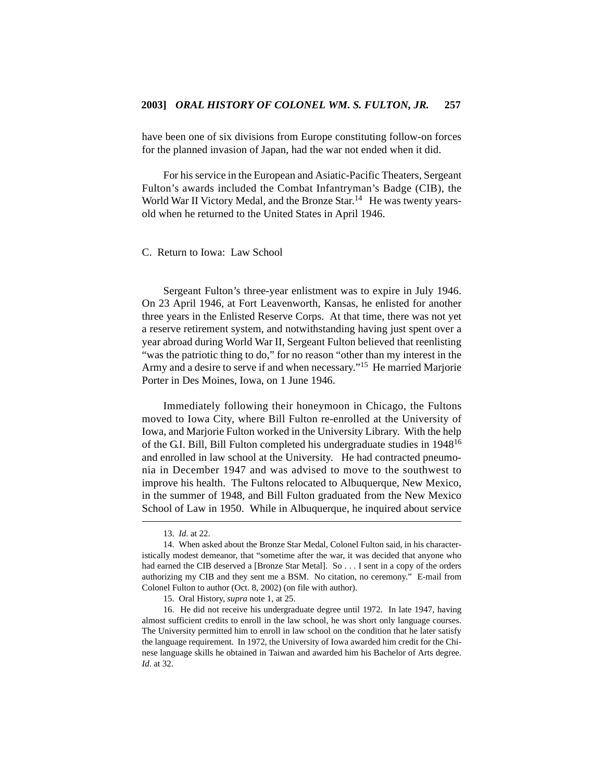have been one of six divisions from Europe constituting follow-on forces for the planned invasion of Japan, had the war not ended when it did.

For his service in the European and Asiatic-Pacific Theaters, Sergeant Fulton's awards included the Combat Infantryman's Badge (CIB), the World War II Victory Medal, and the Bronze Star.<sup>14</sup> He was twenty yearsold when he returned to the United States in April 1946.

## C. Return to Iowa: Law School

Sergeant Fulton's three-year enlistment was to expire in July 1946. On 23 April 1946, at Fort Leavenworth, Kansas, he enlisted for another three years in the Enlisted Reserve Corps. At that time, there was not yet a reserve retirement system, and notwithstanding having just spent over a year abroad during World War II, Sergeant Fulton believed that reenlisting "was the patriotic thing to do," for no reason "other than my interest in the Army and a desire to serve if and when necessary."15 He married Marjorie Porter in Des Moines, Iowa, on 1 June 1946.

Immediately following their honeymoon in Chicago, the Fultons moved to Iowa City, where Bill Fulton re-enrolled at the University of Iowa, and Marjorie Fulton worked in the University Library. With the help of the G.I. Bill, Bill Fulton completed his undergraduate studies in 194816 and enrolled in law school at the University. He had contracted pneumonia in December 1947 and was advised to move to the southwest to improve his health. The Fultons relocated to Albuquerque, New Mexico, in the summer of 1948, and Bill Fulton graduated from the New Mexico School of Law in 1950. While in Albuquerque, he inquired about service

<sup>13.</sup> *Id*. at 22.

<sup>14.</sup> When asked about the Bronze Star Medal, Colonel Fulton said, in his characteristically modest demeanor, that "sometime after the war, it was decided that anyone who had earned the CIB deserved a [Bronze Star Metal]. So . . . I sent in a copy of the orders authorizing my CIB and they sent me a BSM. No citation, no ceremony." E-mail from Colonel Fulton to author (Oct. 8, 2002) (on file with author).

<sup>15.</sup> Oral History, *supra* note 1, at 25.

<sup>16.</sup> He did not receive his undergraduate degree until 1972. In late 1947, having almost sufficient credits to enroll in the law school, he was short only language courses. The University permitted him to enroll in law school on the condition that he later satisfy the language requirement. In 1972, the University of Iowa awarded him credit for the Chinese language skills he obtained in Taiwan and awarded him his Bachelor of Arts degree. *Id*. at 32.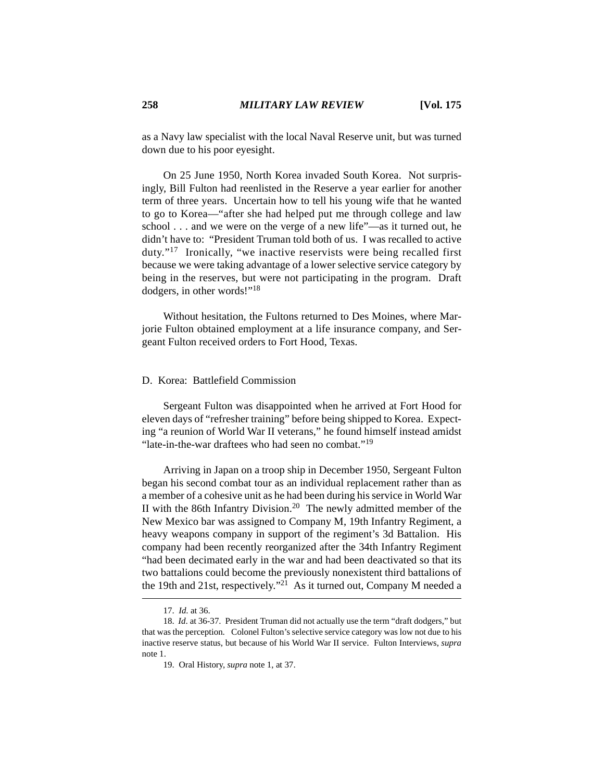as a Navy law specialist with the local Naval Reserve unit, but was turned down due to his poor eyesight.

On 25 June 1950, North Korea invaded South Korea. Not surprisingly, Bill Fulton had reenlisted in the Reserve a year earlier for another term of three years. Uncertain how to tell his young wife that he wanted to go to Korea—"after she had helped put me through college and law school . . . and we were on the verge of a new life"—as it turned out, he didn't have to: "President Truman told both of us. I was recalled to active duty."17 Ironically, "we inactive reservists were being recalled first because we were taking advantage of a lower selective service category by being in the reserves, but were not participating in the program. Draft dodgers, in other words!"18

Without hesitation, the Fultons returned to Des Moines, where Marjorie Fulton obtained employment at a life insurance company, and Sergeant Fulton received orders to Fort Hood, Texas.

#### D. Korea: Battlefield Commission

Sergeant Fulton was disappointed when he arrived at Fort Hood for eleven days of "refresher training" before being shipped to Korea. Expecting "a reunion of World War II veterans," he found himself instead amidst "late-in-the-war draftees who had seen no combat."<sup>19</sup>

Arriving in Japan on a troop ship in December 1950, Sergeant Fulton began his second combat tour as an individual replacement rather than as a member of a cohesive unit as he had been during his service in World War II with the 86th Infantry Division.<sup>20</sup> The newly admitted member of the New Mexico bar was assigned to Company M, 19th Infantry Regiment, a heavy weapons company in support of the regiment's 3d Battalion. His company had been recently reorganized after the 34th Infantry Regiment "had been decimated early in the war and had been deactivated so that its two battalions could become the previously nonexistent third battalions of the 19th and 21st, respectively.<sup>"21</sup> As it turned out, Company M needed a

<sup>17.</sup> *Id*. at 36.

<sup>18.</sup> *Id*. at 36-37. President Truman did not actually use the term "draft dodgers," but that was the perception. Colonel Fulton's selective service category was low not due to his inactive reserve status, but because of his World War II service. Fulton Interviews, *supra* note 1.

<sup>19.</sup> Oral History, *supra* note 1, at 37.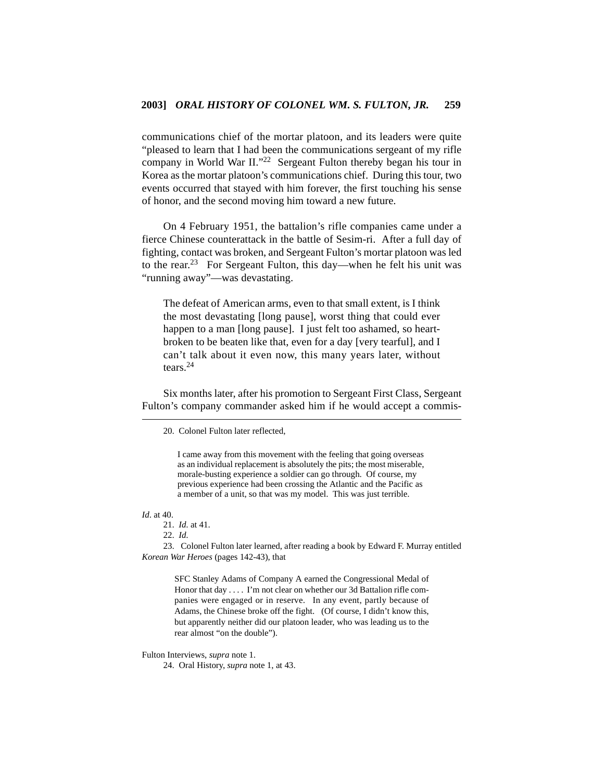communications chief of the mortar platoon, and its leaders were quite "pleased to learn that I had been the communications sergeant of my rifle company in World War II."22 Sergeant Fulton thereby began his tour in Korea as the mortar platoon's communications chief. During this tour, two events occurred that stayed with him forever, the first touching his sense of honor, and the second moving him toward a new future.

On 4 February 1951, the battalion's rifle companies came under a fierce Chinese counterattack in the battle of Sesim-ri. After a full day of fighting, contact was broken, and Sergeant Fulton's mortar platoon was led to the rear.<sup>23</sup> For Sergeant Fulton, this day—when he felt his unit was "running away"—was devastating.

The defeat of American arms, even to that small extent, is I think the most devastating [long pause], worst thing that could ever happen to a man [long pause]. I just felt too ashamed, so heartbroken to be beaten like that, even for a day [very tearful], and I can't talk about it even now, this many years later, without tears.24

Six months later, after his promotion to Sergeant First Class, Sergeant Fulton's company commander asked him if he would accept a commis-

I came away from this movement with the feeling that going overseas as an individual replacement is absolutely the pits; the most miserable, morale-busting experience a soldier can go through. Of course, my previous experience had been crossing the Atlantic and the Pacific as a member of a unit, so that was my model. This was just terrible.

#### *Id*. at 40.

22. *Id*.

23. Colonel Fulton later learned, after reading a book by Edward F. Murray entitled *Korean War Heroes* (pages 142-43), that

SFC Stanley Adams of Company A earned the Congressional Medal of Honor that day . . . . I'm not clear on whether our 3d Battalion rifle companies were engaged or in reserve. In any event, partly because of Adams, the Chinese broke off the fight. (Of course, I didn't know this, but apparently neither did our platoon leader, who was leading us to the rear almost "on the double").

Fulton Interviews, *supra* note 1.

24. Oral History, *supra* note 1, at 43.

<sup>20.</sup> Colonel Fulton later reflected,

<sup>21.</sup> *Id*. at 41.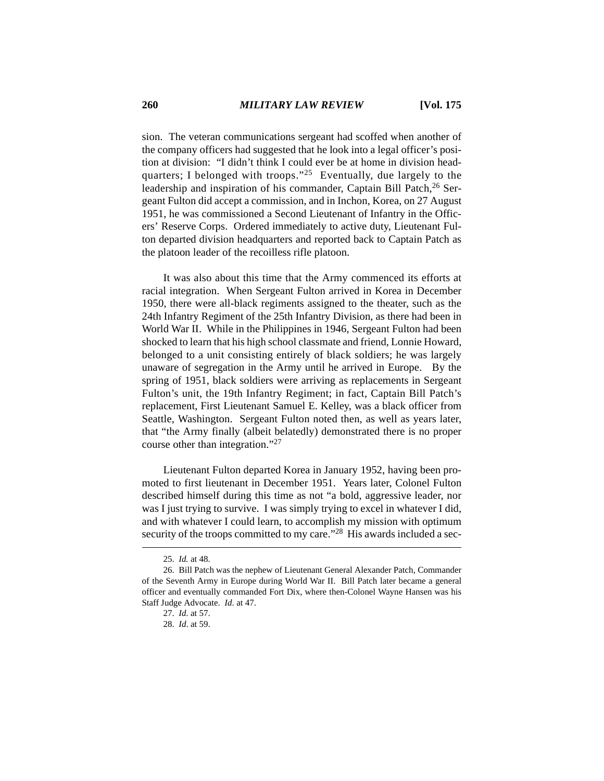sion. The veteran communications sergeant had scoffed when another of the company officers had suggested that he look into a legal officer's position at division: "I didn't think I could ever be at home in division headquarters; I belonged with troops."25 Eventually, due largely to the leadership and inspiration of his commander, Captain Bill Patch, <sup>26</sup> Sergeant Fulton did accept a commission, and in Inchon, Korea, on 27 August 1951, he was commissioned a Second Lieutenant of Infantry in the Officers' Reserve Corps. Ordered immediately to active duty, Lieutenant Fulton departed division headquarters and reported back to Captain Patch as the platoon leader of the recoilless rifle platoon.

It was also about this time that the Army commenced its efforts at racial integration. When Sergeant Fulton arrived in Korea in December 1950, there were all-black regiments assigned to the theater, such as the 24th Infantry Regiment of the 25th Infantry Division, as there had been in World War II. While in the Philippines in 1946, Sergeant Fulton had been shocked to learn that his high school classmate and friend, Lonnie Howard, belonged to a unit consisting entirely of black soldiers; he was largely unaware of segregation in the Army until he arrived in Europe. By the spring of 1951, black soldiers were arriving as replacements in Sergeant Fulton's unit, the 19th Infantry Regiment; in fact, Captain Bill Patch's replacement, First Lieutenant Samuel E. Kelley, was a black officer from Seattle, Washington. Sergeant Fulton noted then, as well as years later, that "the Army finally (albeit belatedly) demonstrated there is no proper course other than integration."27

Lieutenant Fulton departed Korea in January 1952, having been promoted to first lieutenant in December 1951. Years later, Colonel Fulton described himself during this time as not "a bold, aggressive leader, nor was I just trying to survive. I was simply trying to excel in whatever I did, and with whatever I could learn, to accomplish my mission with optimum security of the troops committed to my care."<sup>28</sup> His awards included a sec-

<sup>25.</sup> *Id.* at 48.

<sup>26.</sup> Bill Patch was the nephew of Lieutenant General Alexander Patch, Commander of the Seventh Army in Europe during World War II. Bill Patch later became a general officer and eventually commanded Fort Dix, where then-Colonel Wayne Hansen was his Staff Judge Advocate. *Id*. at 47.

<sup>27.</sup> *Id*. at 57.

<sup>28.</sup> *Id*. at 59.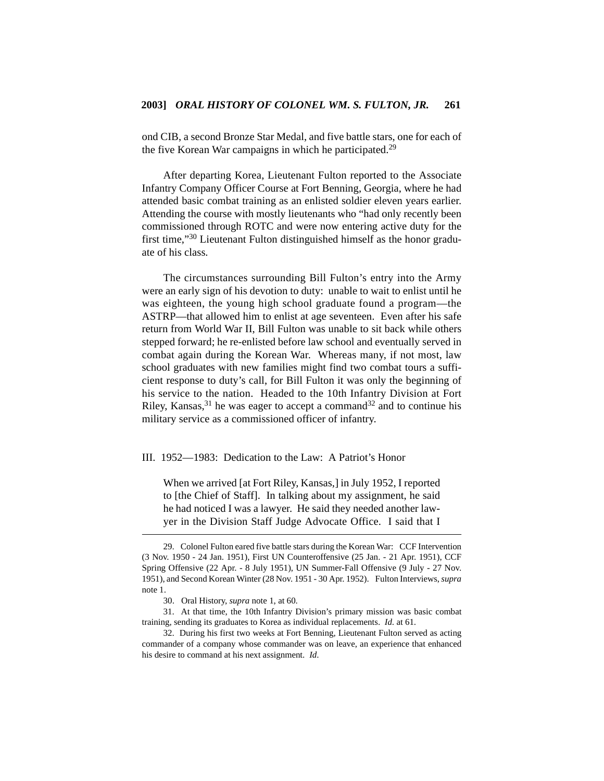ond CIB, a second Bronze Star Medal, and five battle stars, one for each of the five Korean War campaigns in which he participated.<sup>29</sup>

After departing Korea, Lieutenant Fulton reported to the Associate Infantry Company Officer Course at Fort Benning, Georgia, where he had attended basic combat training as an enlisted soldier eleven years earlier. Attending the course with mostly lieutenants who "had only recently been commissioned through ROTC and were now entering active duty for the first time,"30 Lieutenant Fulton distinguished himself as the honor graduate of his class.

The circumstances surrounding Bill Fulton's entry into the Army were an early sign of his devotion to duty: unable to wait to enlist until he was eighteen, the young high school graduate found a program—the ASTRP—that allowed him to enlist at age seventeen. Even after his safe return from World War II, Bill Fulton was unable to sit back while others stepped forward; he re-enlisted before law school and eventually served in combat again during the Korean War. Whereas many, if not most, law school graduates with new families might find two combat tours a sufficient response to duty's call, for Bill Fulton it was only the beginning of his service to the nation. Headed to the 10th Infantry Division at Fort Riley, Kansas,  $31$  he was eager to accept a command  $32$  and to continue his military service as a commissioned officer of infantry.

III. 1952—1983: Dedication to the Law: A Patriot's Honor

When we arrived [at Fort Riley, Kansas,] in July 1952, I reported to [the Chief of Staff]. In talking about my assignment, he said he had noticed I was a lawyer. He said they needed another lawyer in the Division Staff Judge Advocate Office. I said that I

<sup>29.</sup> Colonel Fulton eared five battle stars during the Korean War: CCF Intervention (3 Nov. 1950 - 24 Jan. 1951), First UN Counteroffensive (25 Jan. - 21 Apr. 1951), CCF Spring Offensive (22 Apr. - 8 July 1951), UN Summer-Fall Offensive (9 July - 27 Nov. 1951), and Second Korean Winter (28 Nov. 1951 - 30 Apr. 1952). Fulton Interviews, *supra* note 1.

<sup>30.</sup> Oral History, *supra* note 1, at 60.

<sup>31.</sup> At that time, the 10th Infantry Division's primary mission was basic combat training, sending its graduates to Korea as individual replacements. *Id*. at 61.

<sup>32.</sup> During his first two weeks at Fort Benning, Lieutenant Fulton served as acting commander of a company whose commander was on leave, an experience that enhanced his desire to command at his next assignment. *Id*.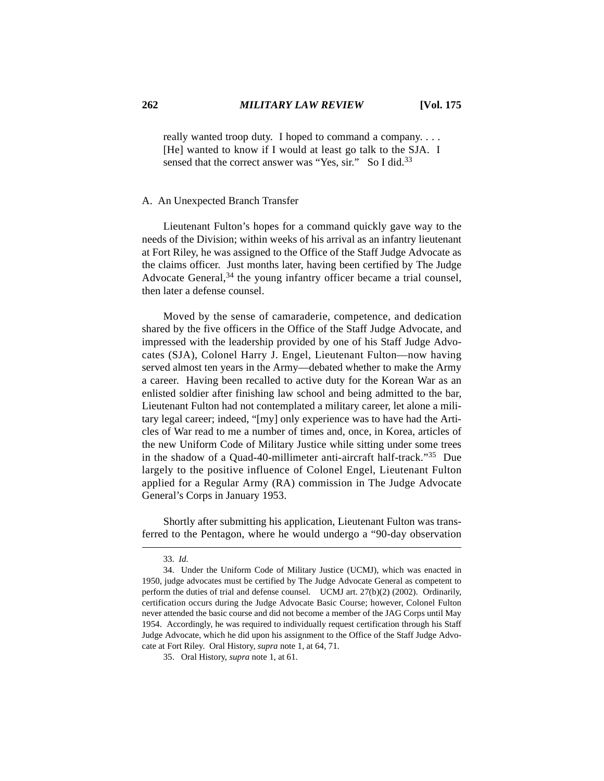really wanted troop duty. I hoped to command a company. . . . [He] wanted to know if I would at least go talk to the SJA. I sensed that the correct answer was "Yes, sir." So I did.<sup>33</sup>

#### A. An Unexpected Branch Transfer

Lieutenant Fulton's hopes for a command quickly gave way to the needs of the Division; within weeks of his arrival as an infantry lieutenant at Fort Riley, he was assigned to the Office of the Staff Judge Advocate as the claims officer. Just months later, having been certified by The Judge Advocate General,  $34$  the young infantry officer became a trial counsel. then later a defense counsel.

Moved by the sense of camaraderie, competence, and dedication shared by the five officers in the Office of the Staff Judge Advocate, and impressed with the leadership provided by one of his Staff Judge Advocates (SJA), Colonel Harry J. Engel, Lieutenant Fulton—now having served almost ten years in the Army—debated whether to make the Army a career. Having been recalled to active duty for the Korean War as an enlisted soldier after finishing law school and being admitted to the bar, Lieutenant Fulton had not contemplated a military career, let alone a military legal career; indeed, "[my] only experience was to have had the Articles of War read to me a number of times and, once, in Korea, articles of the new Uniform Code of Military Justice while sitting under some trees in the shadow of a Quad-40-millimeter anti-aircraft half-track."35 Due largely to the positive influence of Colonel Engel, Lieutenant Fulton applied for a Regular Army (RA) commission in The Judge Advocate General's Corps in January 1953.

Shortly after submitting his application, Lieutenant Fulton was transferred to the Pentagon, where he would undergo a "90-day observation

<sup>33.</sup> *Id*.

<sup>34.</sup> Under the Uniform Code of Military Justice (UCMJ), which was enacted in 1950, judge advocates must be certified by The Judge Advocate General as competent to perform the duties of trial and defense counsel. UCMJ art. 27(b)(2) (2002). Ordinarily, certification occurs during the Judge Advocate Basic Course; however, Colonel Fulton never attended the basic course and did not become a member of the JAG Corps until May 1954. Accordingly, he was required to individually request certification through his Staff Judge Advocate, which he did upon his assignment to the Office of the Staff Judge Advocate at Fort Riley. Oral History, *supra* note 1, at 64, 71.

<sup>35.</sup> Oral History, *supra* note 1, at 61.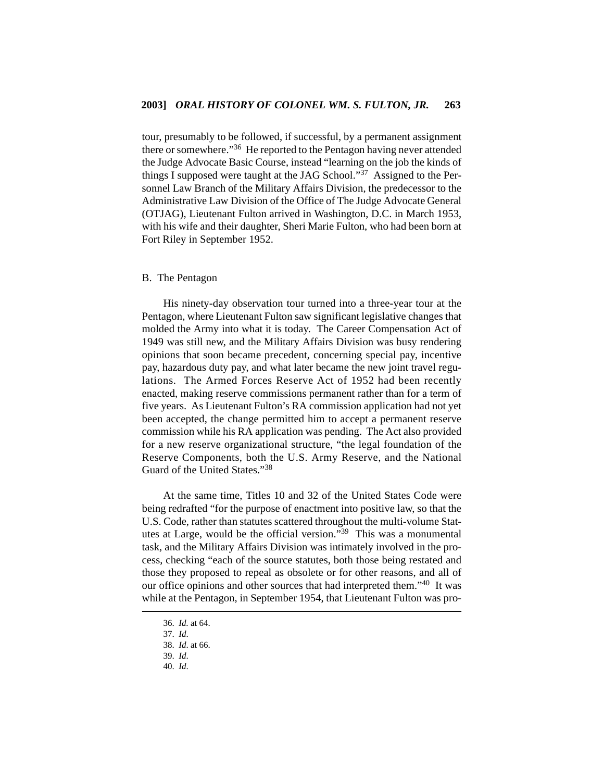tour, presumably to be followed, if successful, by a permanent assignment there or somewhere."<sup>36</sup> He reported to the Pentagon having never attended the Judge Advocate Basic Course, instead "learning on the job the kinds of things I supposed were taught at the JAG School."37 Assigned to the Personnel Law Branch of the Military Affairs Division, the predecessor to the Administrative Law Division of the Office of The Judge Advocate General (OTJAG), Lieutenant Fulton arrived in Washington, D.C. in March 1953, with his wife and their daughter, Sheri Marie Fulton, who had been born at Fort Riley in September 1952.

#### B. The Pentagon

His ninety-day observation tour turned into a three-year tour at the Pentagon, where Lieutenant Fulton saw significant legislative changes that molded the Army into what it is today. The Career Compensation Act of 1949 was still new, and the Military Affairs Division was busy rendering opinions that soon became precedent, concerning special pay, incentive pay, hazardous duty pay, and what later became the new joint travel regulations. The Armed Forces Reserve Act of 1952 had been recently enacted, making reserve commissions permanent rather than for a term of five years. As Lieutenant Fulton's RA commission application had not yet been accepted, the change permitted him to accept a permanent reserve commission while his RA application was pending. The Act also provided for a new reserve organizational structure, "the legal foundation of the Reserve Components, both the U.S. Army Reserve, and the National Guard of the United States."38

At the same time, Titles 10 and 32 of the United States Code were being redrafted "for the purpose of enactment into positive law, so that the U.S. Code, rather than statutes scattered throughout the multi-volume Statutes at Large, would be the official version."39 This was a monumental task, and the Military Affairs Division was intimately involved in the process, checking "each of the source statutes, both those being restated and those they proposed to repeal as obsolete or for other reasons, and all of our office opinions and other sources that had interpreted them."40 It was while at the Pentagon, in September 1954, that Lieutenant Fulton was pro-

<sup>36.</sup> *Id*. at 64.

<sup>37.</sup> *Id*.

<sup>38.</sup> *Id*. at 66.

<sup>39.</sup> *Id*.

<sup>40.</sup> *Id*.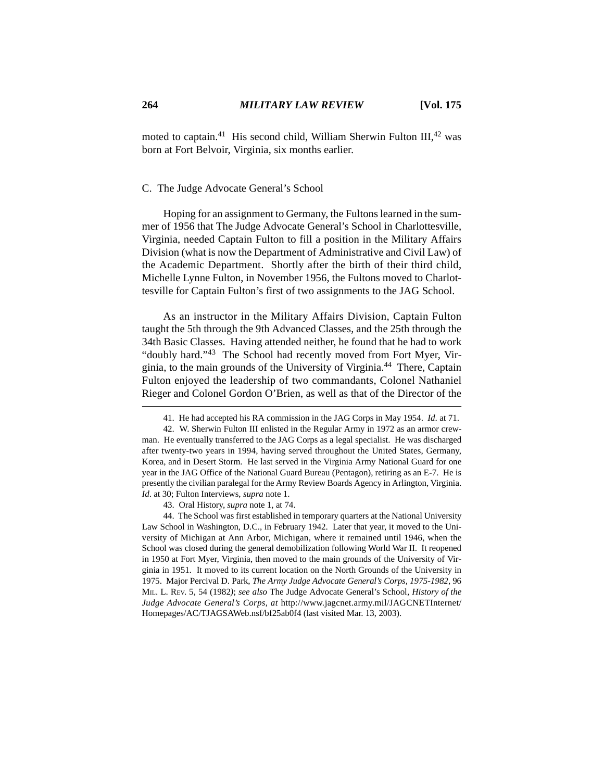moted to captain.<sup>41</sup> His second child, William Sherwin Fulton III,<sup>42</sup> was born at Fort Belvoir, Virginia, six months earlier.

# C. The Judge Advocate General's School

Hoping for an assignment to Germany, the Fultons learned in the summer of 1956 that The Judge Advocate General's School in Charlottesville, Virginia, needed Captain Fulton to fill a position in the Military Affairs Division (what is now the Department of Administrative and Civil Law) of the Academic Department. Shortly after the birth of their third child, Michelle Lynne Fulton, in November 1956, the Fultons moved to Charlottesville for Captain Fulton's first of two assignments to the JAG School.

As an instructor in the Military Affairs Division, Captain Fulton taught the 5th through the 9th Advanced Classes, and the 25th through the 34th Basic Classes. Having attended neither, he found that he had to work "doubly hard."43 The School had recently moved from Fort Myer, Virginia, to the main grounds of the University of Virginia.44 There, Captain Fulton enjoyed the leadership of two commandants, Colonel Nathaniel Rieger and Colonel Gordon O'Brien, as well as that of the Director of the

43. Oral History, *supra* note 1, at 74.

44. The School was first established in temporary quarters at the National University Law School in Washington, D.C., in February 1942. Later that year, it moved to the University of Michigan at Ann Arbor, Michigan, where it remained until 1946, when the School was closed during the general demobilization following World War II. It reopened in 1950 at Fort Myer, Virginia, then moved to the main grounds of the University of Virginia in 1951. It moved to its current location on the North Grounds of the University in 1975. Major Percival D. Park, *The Army Judge Advocate General's Corps, 1975-1982*, 96 MIL. L. REV. 5, 54 (1982*)*; *see also* The Judge Advocate General's School, *History of the Judge Advocate General's Corps*, *at* http://www.jagcnet.army.mil/JAGCNETInternet/ Homepages/AC/TJAGSAWeb.nsf/bf25ab0f4 (last visited Mar. 13, 2003).

<sup>41.</sup> He had accepted his RA commission in the JAG Corps in May 1954. *Id*. at 71.

<sup>42.</sup> W. Sherwin Fulton III enlisted in the Regular Army in 1972 as an armor crewman. He eventually transferred to the JAG Corps as a legal specialist. He was discharged after twenty-two years in 1994, having served throughout the United States, Germany, Korea, and in Desert Storm. He last served in the Virginia Army National Guard for one year in the JAG Office of the National Guard Bureau (Pentagon), retiring as an E-7. He is presently the civilian paralegal for the Army Review Boards Agency in Arlington, Virginia. *Id*. at 30; Fulton Interviews, *supra* note 1.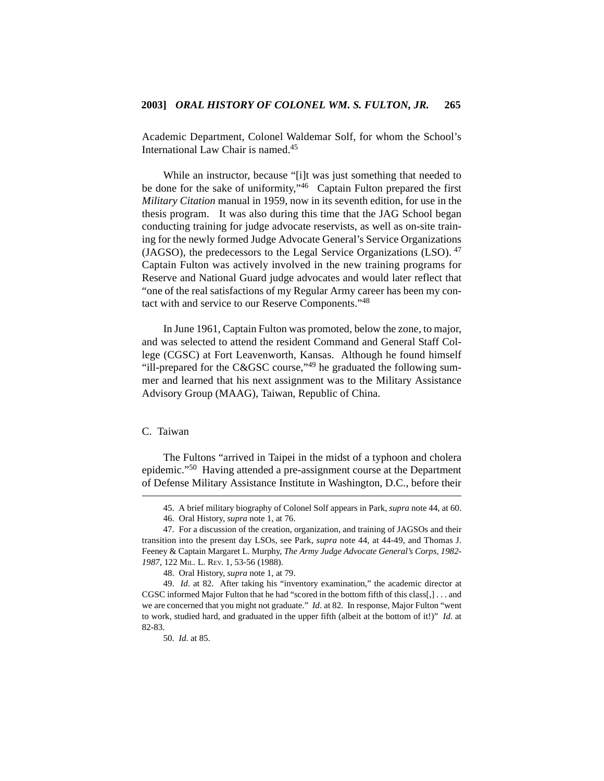Academic Department, Colonel Waldemar Solf, for whom the School's International Law Chair is named.45

While an instructor, because "[i]t was just something that needed to be done for the sake of uniformity,"<sup>46</sup> Captain Fulton prepared the first *Military Citation* manual in 1959, now in its seventh edition, for use in the thesis program. It was also during this time that the JAG School began conducting training for judge advocate reservists, as well as on-site training for the newly formed Judge Advocate General's Service Organizations (JAGSO), the predecessors to the Legal Service Organizations (LSO).  $47$ Captain Fulton was actively involved in the new training programs for Reserve and National Guard judge advocates and would later reflect that "one of the real satisfactions of my Regular Army career has been my contact with and service to our Reserve Components."48

In June 1961, Captain Fulton was promoted, below the zone, to major, and was selected to attend the resident Command and General Staff College (CGSC) at Fort Leavenworth, Kansas. Although he found himself "ill-prepared for the C&GSC course,"49 he graduated the following summer and learned that his next assignment was to the Military Assistance Advisory Group (MAAG), Taiwan, Republic of China.

# C. Taiwan

The Fultons "arrived in Taipei in the midst of a typhoon and cholera epidemic."50 Having attended a pre-assignment course at the Department of Defense Military Assistance Institute in Washington, D.C., before their

<sup>45.</sup> A brief military biography of Colonel Solf appears in Park, *supra* note 44, at 60.

<sup>46.</sup> Oral History, *supra* note 1, at 76.

<sup>47.</sup> For a discussion of the creation, organization, and training of JAGSOs and their transition into the present day LSOs, see Park, *supra* note 44, at 44-49, and Thomas J. Feeney & Captain Margaret L. Murphy, *The Army Judge Advocate General's Corps, 1982- 1987*, 122 MIL. L. REV. 1, 53-56 (1988).

<sup>48.</sup> Oral History, *supra* note 1, at 79.

<sup>49.</sup> *Id*. at 82. After taking his "inventory examination," the academic director at CGSC informed Major Fulton that he had "scored in the bottom fifth of this class[,] . . . and we are concerned that you might not graduate." *Id*. at 82. In response, Major Fulton "went to work, studied hard, and graduated in the upper fifth (albeit at the bottom of it!)" *Id*. at 82-83.

<sup>50.</sup> *Id*. at 85.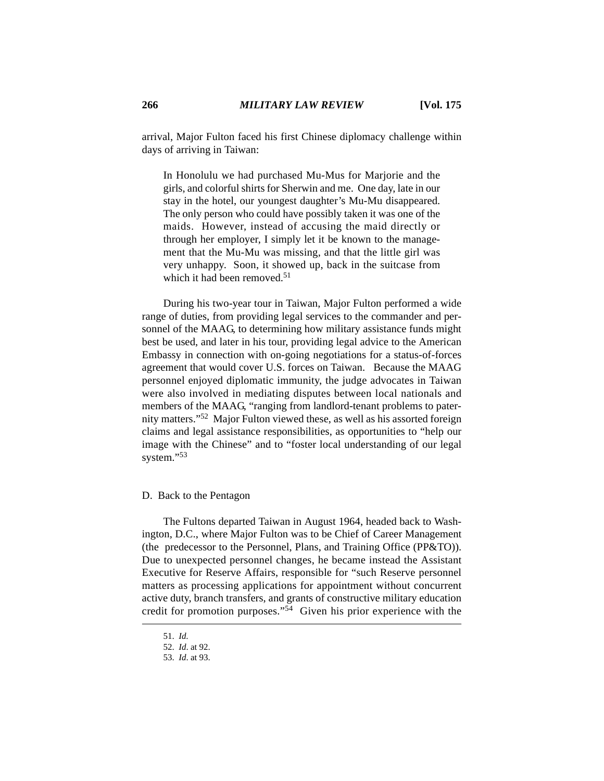arrival, Major Fulton faced his first Chinese diplomacy challenge within days of arriving in Taiwan:

In Honolulu we had purchased Mu-Mus for Marjorie and the girls, and colorful shirts for Sherwin and me. One day, late in our stay in the hotel, our youngest daughter's Mu-Mu disappeared. The only person who could have possibly taken it was one of the maids. However, instead of accusing the maid directly or through her employer, I simply let it be known to the management that the Mu-Mu was missing, and that the little girl was very unhappy. Soon, it showed up, back in the suitcase from which it had been removed.<sup>51</sup>

During his two-year tour in Taiwan, Major Fulton performed a wide range of duties, from providing legal services to the commander and personnel of the MAAG, to determining how military assistance funds might best be used, and later in his tour, providing legal advice to the American Embassy in connection with on-going negotiations for a status-of-forces agreement that would cover U.S. forces on Taiwan. Because the MAAG personnel enjoyed diplomatic immunity, the judge advocates in Taiwan were also involved in mediating disputes between local nationals and members of the MAAG, "ranging from landlord-tenant problems to paternity matters."52 Major Fulton viewed these, as well as his assorted foreign claims and legal assistance responsibilities, as opportunities to "help our image with the Chinese" and to "foster local understanding of our legal system."<sup>53</sup>

## D. Back to the Pentagon

The Fultons departed Taiwan in August 1964, headed back to Washington, D.C., where Major Fulton was to be Chief of Career Management (the predecessor to the Personnel, Plans, and Training Office (PP&TO)). Due to unexpected personnel changes, he became instead the Assistant Executive for Reserve Affairs, responsible for "such Reserve personnel matters as processing applications for appointment without concurrent active duty, branch transfers, and grants of constructive military education credit for promotion purposes."54 Given his prior experience with the

<sup>51.</sup> *Id*.

<sup>52.</sup> *Id*. at 92.

<sup>53.</sup> *Id*. at 93.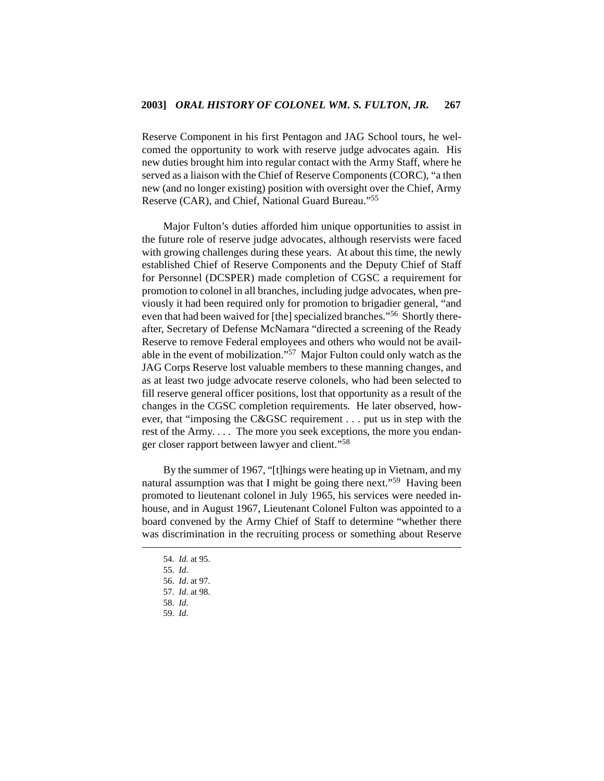Reserve Component in his first Pentagon and JAG School tours, he welcomed the opportunity to work with reserve judge advocates again. His new duties brought him into regular contact with the Army Staff, where he served as a liaison with the Chief of Reserve Components (CORC), "a then new (and no longer existing) position with oversight over the Chief, Army Reserve (CAR), and Chief, National Guard Bureau."55

Major Fulton's duties afforded him unique opportunities to assist in the future role of reserve judge advocates, although reservists were faced with growing challenges during these years. At about this time, the newly established Chief of Reserve Components and the Deputy Chief of Staff for Personnel (DCSPER) made completion of CGSC a requirement for promotion to colonel in all branches, including judge advocates, when previously it had been required only for promotion to brigadier general, "and even that had been waived for [the] specialized branches."56 Shortly thereafter, Secretary of Defense McNamara "directed a screening of the Ready Reserve to remove Federal employees and others who would not be available in the event of mobilization."57 Major Fulton could only watch as the JAG Corps Reserve lost valuable members to these manning changes, and as at least two judge advocate reserve colonels, who had been selected to fill reserve general officer positions, lost that opportunity as a result of the changes in the CGSC completion requirements. He later observed, however, that "imposing the C&GSC requirement . . . put us in step with the rest of the Army. . . . The more you seek exceptions, the more you endanger closer rapport between lawyer and client."58

By the summer of 1967, "[t]hings were heating up in Vietnam, and my natural assumption was that I might be going there next."59 Having been promoted to lieutenant colonel in July 1965, his services were needed inhouse, and in August 1967, Lieutenant Colonel Fulton was appointed to a board convened by the Army Chief of Staff to determine "whether there was discrimination in the recruiting process or something about Reserve

<sup>54.</sup> *Id*. at 95.

<sup>55.</sup> *Id*.

<sup>56.</sup> *Id*. at 97.

<sup>57.</sup> *Id*. at 98.

<sup>58.</sup> *Id*.

<sup>59.</sup> *Id*.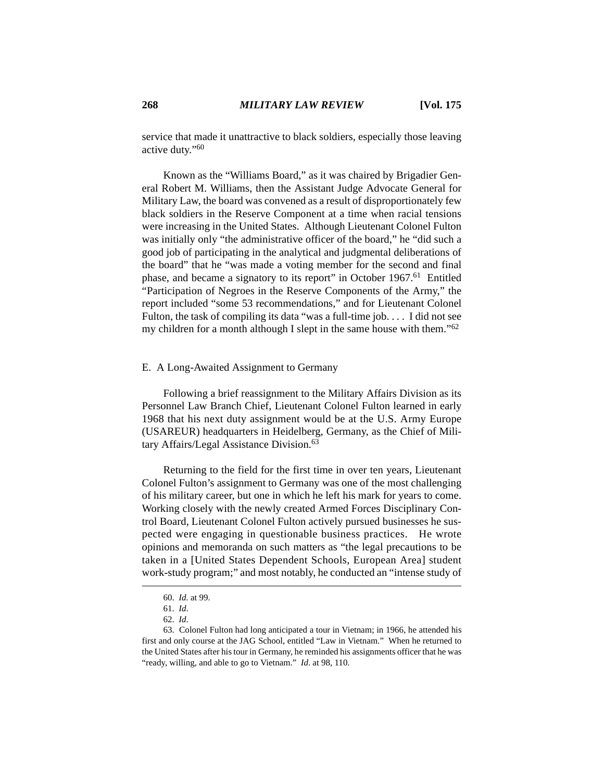service that made it unattractive to black soldiers, especially those leaving active duty."60

Known as the "Williams Board," as it was chaired by Brigadier General Robert M. Williams, then the Assistant Judge Advocate General for Military Law, the board was convened as a result of disproportionately few black soldiers in the Reserve Component at a time when racial tensions were increasing in the United States. Although Lieutenant Colonel Fulton was initially only "the administrative officer of the board," he "did such a good job of participating in the analytical and judgmental deliberations of the board" that he "was made a voting member for the second and final phase, and became a signatory to its report" in October 1967.<sup>61</sup> Entitled "Participation of Negroes in the Reserve Components of the Army," the report included "some 53 recommendations," and for Lieutenant Colonel Fulton, the task of compiling its data "was a full-time job. . . . I did not see my children for a month although I slept in the same house with them."62

## E. A Long-Awaited Assignment to Germany

Following a brief reassignment to the Military Affairs Division as its Personnel Law Branch Chief, Lieutenant Colonel Fulton learned in early 1968 that his next duty assignment would be at the U.S. Army Europe (USAREUR) headquarters in Heidelberg, Germany, as the Chief of Military Affairs/Legal Assistance Division.<sup>63</sup>

Returning to the field for the first time in over ten years, Lieutenant Colonel Fulton's assignment to Germany was one of the most challenging of his military career, but one in which he left his mark for years to come. Working closely with the newly created Armed Forces Disciplinary Control Board, Lieutenant Colonel Fulton actively pursued businesses he suspected were engaging in questionable business practices. He wrote opinions and memoranda on such matters as "the legal precautions to be taken in a [United States Dependent Schools, European Area] student work-study program;" and most notably, he conducted an "intense study of

<sup>60.</sup> *Id*. at 99.

<sup>61.</sup> *Id*.

<sup>62.</sup> *Id*.

<sup>63.</sup> Colonel Fulton had long anticipated a tour in Vietnam; in 1966, he attended his first and only course at the JAG School, entitled "Law in Vietnam." When he returned to the United States after his tour in Germany, he reminded his assignments officer that he was "ready, willing, and able to go to Vietnam." *Id.* at 98, 110.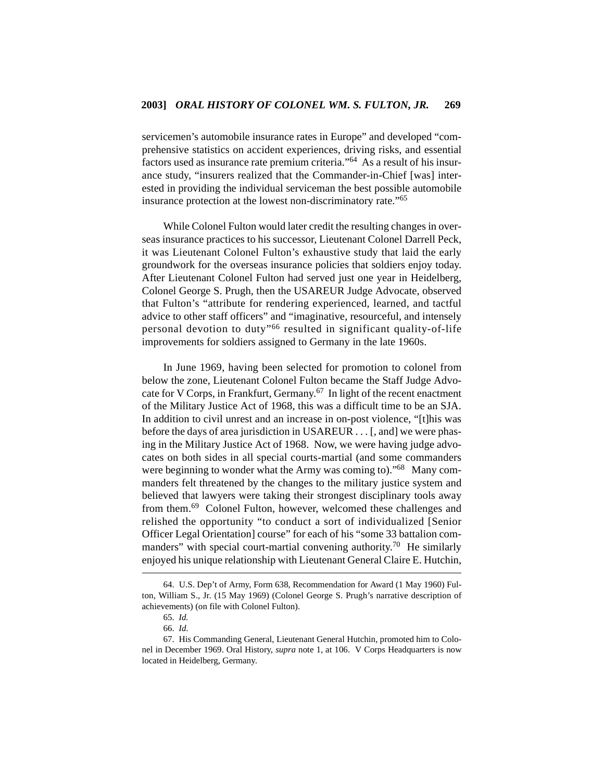servicemen's automobile insurance rates in Europe" and developed "comprehensive statistics on accident experiences, driving risks, and essential factors used as insurance rate premium criteria."64 As a result of his insurance study, "insurers realized that the Commander-in-Chief [was] interested in providing the individual serviceman the best possible automobile insurance protection at the lowest non-discriminatory rate."65

While Colonel Fulton would later credit the resulting changes in overseas insurance practices to his successor, Lieutenant Colonel Darrell Peck, it was Lieutenant Colonel Fulton's exhaustive study that laid the early groundwork for the overseas insurance policies that soldiers enjoy today. After Lieutenant Colonel Fulton had served just one year in Heidelberg, Colonel George S. Prugh, then the USAREUR Judge Advocate, observed that Fulton's "attribute for rendering experienced, learned, and tactful advice to other staff officers" and "imaginative, resourceful, and intensely personal devotion to duty"<sup>66</sup> resulted in significant quality-of-life improvements for soldiers assigned to Germany in the late 1960s.

In June 1969, having been selected for promotion to colonel from below the zone, Lieutenant Colonel Fulton became the Staff Judge Advocate for V Corps, in Frankfurt, Germany.67 In light of the recent enactment of the Military Justice Act of 1968, this was a difficult time to be an SJA. In addition to civil unrest and an increase in on-post violence, "[t]his was before the days of area jurisdiction in USAREUR . . . [, and] we were phasing in the Military Justice Act of 1968. Now, we were having judge advocates on both sides in all special courts-martial (and some commanders were beginning to wonder what the Army was coming to)."<sup>68</sup> Many commanders felt threatened by the changes to the military justice system and believed that lawyers were taking their strongest disciplinary tools away from them.69 Colonel Fulton, however, welcomed these challenges and relished the opportunity "to conduct a sort of individualized [Senior Officer Legal Orientation] course" for each of his "some 33 battalion commanders" with special court-martial convening authority.<sup>70</sup> He similarly enjoyed his unique relationship with Lieutenant General Claire E. Hutchin,

<sup>64.</sup> U.S. Dep't of Army, Form 638, Recommendation for Award (1 May 1960) Fulton, William S., Jr. (15 May 1969) (Colonel George S. Prugh's narrative description of achievements) (on file with Colonel Fulton).

<sup>65.</sup> *Id.*

<sup>66.</sup> *Id*.

<sup>67.</sup> His Commanding General, Lieutenant General Hutchin, promoted him to Colonel in December 1969. Oral History, *supra* note 1, at 106. V Corps Headquarters is now located in Heidelberg, Germany.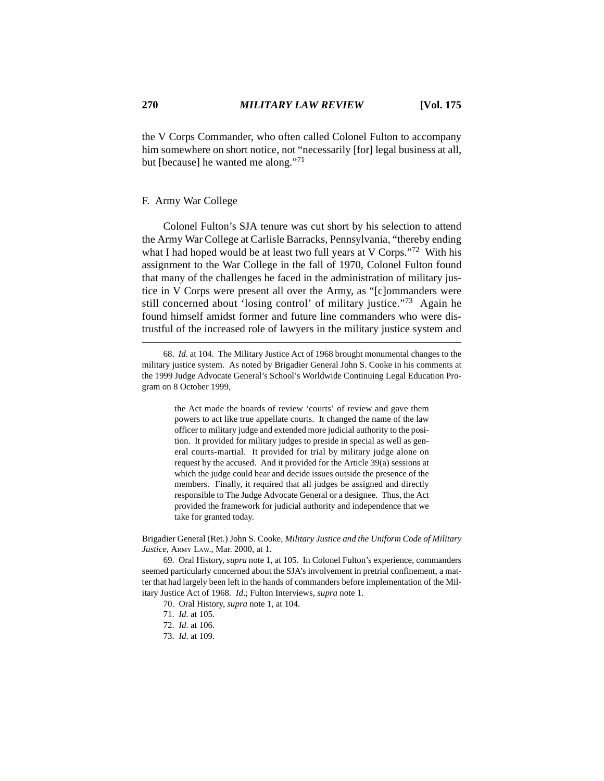the V Corps Commander, who often called Colonel Fulton to accompany him somewhere on short notice, not "necessarily [for] legal business at all, but [because] he wanted me along."<sup>71</sup>

### F. Army War College

Colonel Fulton's SJA tenure was cut short by his selection to attend the Army War College at Carlisle Barracks, Pennsylvania, "thereby ending what I had hoped would be at least two full years at V Corps."<sup>72</sup> With his assignment to the War College in the fall of 1970, Colonel Fulton found that many of the challenges he faced in the administration of military justice in V Corps were present all over the Army, as "[c]ommanders were still concerned about 'losing control' of military justice."73 Again he found himself amidst former and future line commanders who were distrustful of the increased role of lawyers in the military justice system and

68. *Id*. at 104. The Military Justice Act of 1968 brought monumental changes to the military justice system. As noted by Brigadier General John S. Cooke in his comments at the 1999 Judge Advocate General's School's Worldwide Continuing Legal Education Program on 8 October 1999,

> the Act made the boards of review 'courts' of review and gave them powers to act like true appellate courts. It changed the name of the law officer to military judge and extended more judicial authority to the position. It provided for military judges to preside in special as well as general courts-martial. It provided for trial by military judge alone on request by the accused. And it provided for the Article 39(a) sessions at which the judge could hear and decide issues outside the presence of the members. Finally, it required that all judges be assigned and directly responsible to The Judge Advocate General or a designee. Thus, the Act provided the framework for judicial authority and independence that we take for granted today.

Brigadier General (Ret.) John S. Cooke, *Military Justice and the Uniform Code of Military Justice*, ARMY LAW., Mar. 2000, at 1.

69. Oral History, *supra* note 1, at 105. In Colonel Fulton's experience, commanders seemed particularly concerned about the SJA's involvement in pretrial confinement, a matter that had largely been left in the hands of commanders before implementation of the Military Justice Act of 1968. *Id*.; Fulton Interviews, *supra* note 1.

- 70. Oral History, *supra* note 1, at 104.
- 71. *Id*. at 105.
- 72. *Id*. at 106.
- 73. *Id*. at 109.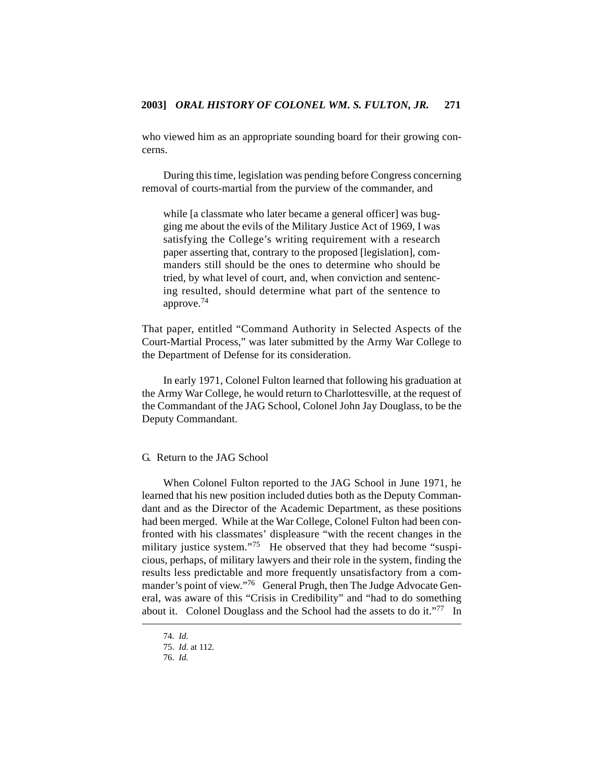who viewed him as an appropriate sounding board for their growing concerns.

During this time, legislation was pending before Congress concerning removal of courts-martial from the purview of the commander, and

while [a classmate who later became a general officer] was bugging me about the evils of the Military Justice Act of 1969, I was satisfying the College's writing requirement with a research paper asserting that, contrary to the proposed [legislation], commanders still should be the ones to determine who should be tried, by what level of court, and, when conviction and sentencing resulted, should determine what part of the sentence to approve.74

That paper, entitled "Command Authority in Selected Aspects of the Court-Martial Process," was later submitted by the Army War College to the Department of Defense for its consideration.

In early 1971, Colonel Fulton learned that following his graduation at the Army War College, he would return to Charlottesville, at the request of the Commandant of the JAG School, Colonel John Jay Douglass, to be the Deputy Commandant.

# G. Return to the JAG School

When Colonel Fulton reported to the JAG School in June 1971, he learned that his new position included duties both as the Deputy Commandant and as the Director of the Academic Department, as these positions had been merged. While at the War College, Colonel Fulton had been confronted with his classmates' displeasure "with the recent changes in the military justice system."<sup>75</sup> He observed that they had become "suspicious, perhaps, of military lawyers and their role in the system, finding the results less predictable and more frequently unsatisfactory from a commander's point of view."<sup>76</sup> General Prugh, then The Judge Advocate General, was aware of this "Crisis in Credibility" and "had to do something about it. Colonel Douglass and the School had the assets to do it."77 In

<sup>74.</sup> *Id*.

<sup>75.</sup> *Id.* at 112.

<sup>76.</sup> *Id.*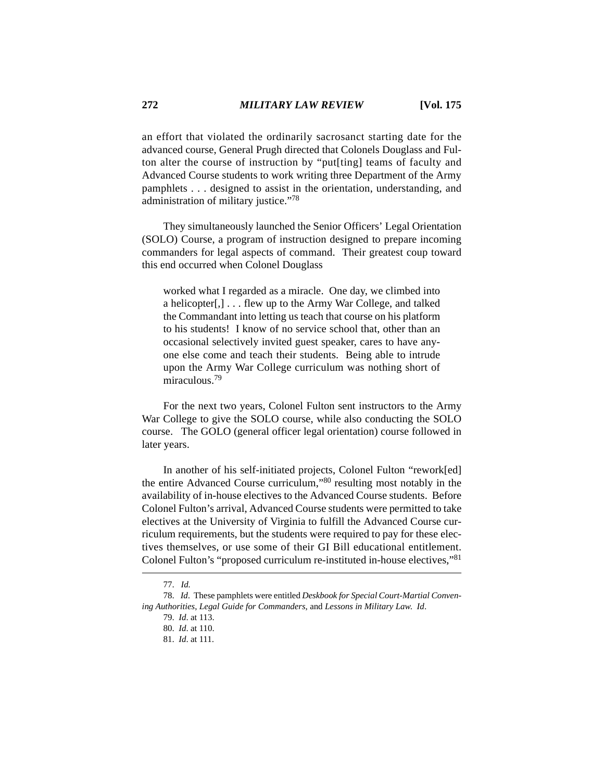an effort that violated the ordinarily sacrosanct starting date for the advanced course, General Prugh directed that Colonels Douglass and Fulton alter the course of instruction by "put[ting] teams of faculty and Advanced Course students to work writing three Department of the Army pamphlets . . . designed to assist in the orientation, understanding, and administration of military justice."78

They simultaneously launched the Senior Officers' Legal Orientation (SOLO) Course, a program of instruction designed to prepare incoming commanders for legal aspects of command. Their greatest coup toward this end occurred when Colonel Douglass

worked what I regarded as a miracle. One day, we climbed into a helicopter[,] . . . flew up to the Army War College, and talked the Commandant into letting us teach that course on his platform to his students! I know of no service school that, other than an occasional selectively invited guest speaker, cares to have anyone else come and teach their students. Being able to intrude upon the Army War College curriculum was nothing short of miraculous<sup>79</sup>

For the next two years, Colonel Fulton sent instructors to the Army War College to give the SOLO course, while also conducting the SOLO course. The GOLO (general officer legal orientation) course followed in later years.

In another of his self-initiated projects, Colonel Fulton "rework[ed] the entire Advanced Course curriculum,"80 resulting most notably in the availability of in-house electives to the Advanced Course students. Before Colonel Fulton's arrival, Advanced Course students were permitted to take electives at the University of Virginia to fulfill the Advanced Course curriculum requirements, but the students were required to pay for these electives themselves, or use some of their GI Bill educational entitlement. Colonel Fulton's "proposed curriculum re-instituted in-house electives,"81

<sup>77.</sup> *Id.*

<sup>78.</sup> *Id*. These pamphlets were entitled *Deskbook for Special Court-Martial Convening Authorities*, *Legal Guide for Commanders*, and *Lessons in Military Law*. *Id*.

<sup>79.</sup> *Id*. at 113.

<sup>80.</sup> *Id*. at 110.

<sup>81.</sup> *Id*. at 111.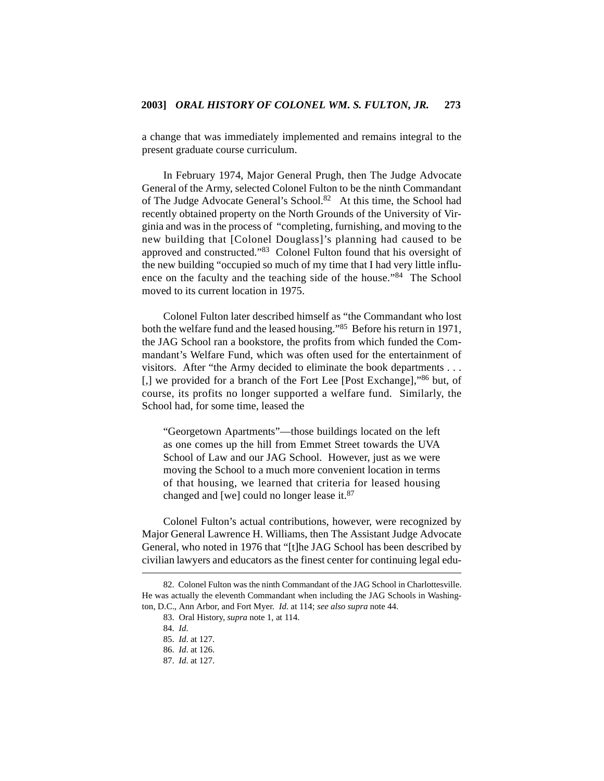a change that was immediately implemented and remains integral to the present graduate course curriculum.

In February 1974, Major General Prugh, then The Judge Advocate General of the Army, selected Colonel Fulton to be the ninth Commandant of The Judge Advocate General's School.<sup>82</sup> At this time, the School had recently obtained property on the North Grounds of the University of Virginia and was in the process of "completing, furnishing, and moving to the new building that [Colonel Douglass]'s planning had caused to be approved and constructed."83 Colonel Fulton found that his oversight of the new building "occupied so much of my time that I had very little influence on the faculty and the teaching side of the house."84 The School moved to its current location in 1975.

Colonel Fulton later described himself as "the Commandant who lost both the welfare fund and the leased housing."85 Before his return in 1971, the JAG School ran a bookstore, the profits from which funded the Commandant's Welfare Fund, which was often used for the entertainment of visitors. After "the Army decided to eliminate the book departments . . . [,] we provided for a branch of the Fort Lee [Post Exchange],"86 but, of course, its profits no longer supported a welfare fund. Similarly, the School had, for some time, leased the

"Georgetown Apartments"—those buildings located on the left as one comes up the hill from Emmet Street towards the UVA School of Law and our JAG School. However, just as we were moving the School to a much more convenient location in terms of that housing, we learned that criteria for leased housing changed and [we] could no longer lease it.87

Colonel Fulton's actual contributions, however, were recognized by Major General Lawrence H. Williams, then The Assistant Judge Advocate General, who noted in 1976 that "[t]he JAG School has been described by civilian lawyers and educators as the finest center for continuing legal edu-

<sup>82.</sup> Colonel Fulton was the ninth Commandant of the JAG School in Charlottesville. He was actually the eleventh Commandant when including the JAG Schools in Washington, D.C., Ann Arbor, and Fort Myer. *Id*. at 114; *see also supra* note 44.

<sup>83.</sup> Oral History, *supra* note 1, at 114.

<sup>84.</sup> *Id*.

<sup>85.</sup> *Id*. at 127.

<sup>86.</sup> *Id*. at 126.

<sup>87.</sup> *Id*. at 127.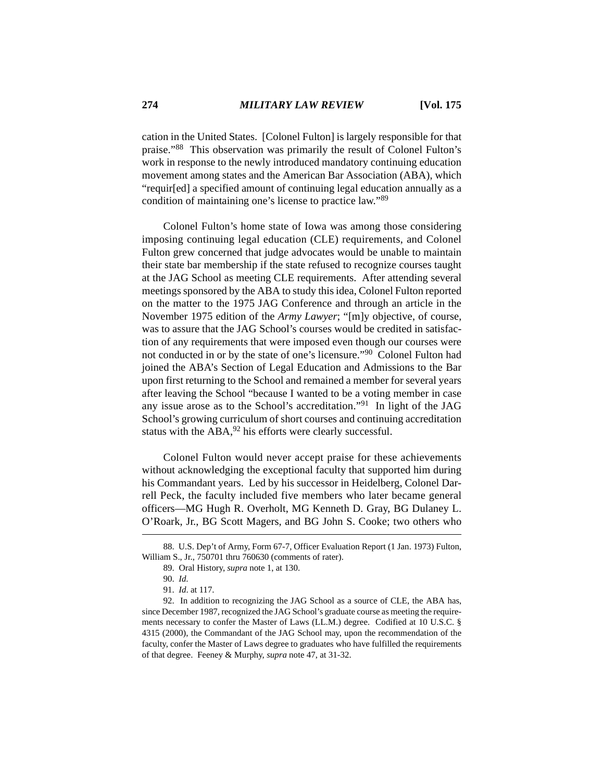cation in the United States. [Colonel Fulton] is largely responsible for that praise."88 This observation was primarily the result of Colonel Fulton's work in response to the newly introduced mandatory continuing education movement among states and the American Bar Association (ABA), which "requir[ed] a specified amount of continuing legal education annually as a condition of maintaining one's license to practice law."89

Colonel Fulton's home state of Iowa was among those considering imposing continuing legal education (CLE) requirements, and Colonel Fulton grew concerned that judge advocates would be unable to maintain their state bar membership if the state refused to recognize courses taught at the JAG School as meeting CLE requirements. After attending several meetings sponsored by the ABA to study this idea, Colonel Fulton reported on the matter to the 1975 JAG Conference and through an article in the November 1975 edition of the *Army Lawyer*; "[m]y objective, of course, was to assure that the JAG School's courses would be credited in satisfaction of any requirements that were imposed even though our courses were not conducted in or by the state of one's licensure."90 Colonel Fulton had joined the ABA's Section of Legal Education and Admissions to the Bar upon first returning to the School and remained a member for several years after leaving the School "because I wanted to be a voting member in case any issue arose as to the School's accreditation."91 In light of the JAG School's growing curriculum of short courses and continuing accreditation status with the ABA, <sup>92</sup> his efforts were clearly successful.

Colonel Fulton would never accept praise for these achievements without acknowledging the exceptional faculty that supported him during his Commandant years. Led by his successor in Heidelberg, Colonel Darrell Peck, the faculty included five members who later became general officers—MG Hugh R. Overholt, MG Kenneth D. Gray, BG Dulaney L. O'Roark, Jr., BG Scott Magers, and BG John S. Cooke; two others who

<sup>88.</sup> U.S. Dep't of Army, Form 67-7, Officer Evaluation Report (1 Jan. 1973) Fulton, William S., Jr., 750701 thru 760630 (comments of rater).

<sup>89.</sup> Oral History, *supra* note 1, at 130.

<sup>90.</sup> *Id*.

<sup>91.</sup> *Id*. at 117.

<sup>92.</sup> In addition to recognizing the JAG School as a source of CLE, the ABA has, since December 1987, recognized the JAG School's graduate course as meeting the requirements necessary to confer the Master of Laws (LL.M.) degree. Codified at 10 U.S.C. § 4315 (2000), the Commandant of the JAG School may, upon the recommendation of the faculty, confer the Master of Laws degree to graduates who have fulfilled the requirements of that degree. Feeney & Murphy, *supra* note 47, at 31-32.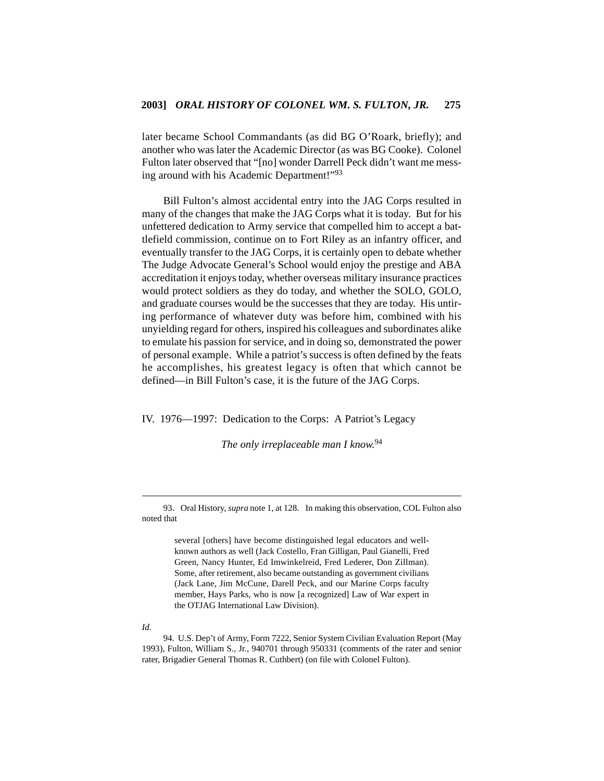later became School Commandants (as did BG O'Roark, briefly); and another who was later the Academic Director (as was BG Cooke). Colonel Fulton later observed that "[no] wonder Darrell Peck didn't want me messing around with his Academic Department!"93

Bill Fulton's almost accidental entry into the JAG Corps resulted in many of the changes that make the JAG Corps what it is today. But for his unfettered dedication to Army service that compelled him to accept a battlefield commission, continue on to Fort Riley as an infantry officer, and eventually transfer to the JAG Corps, it is certainly open to debate whether The Judge Advocate General's School would enjoy the prestige and ABA accreditation it enjoys today, whether overseas military insurance practices would protect soldiers as they do today, and whether the SOLO, GOLO, and graduate courses would be the successes that they are today. His untiring performance of whatever duty was before him, combined with his unyielding regard for others, inspired his colleagues and subordinates alike to emulate his passion for service, and in doing so, demonstrated the power of personal example. While a patriot's success is often defined by the feats he accomplishes, his greatest legacy is often that which cannot be defined—in Bill Fulton's case, it is the future of the JAG Corps.

IV. 1976—1997: Dedication to the Corps: A Patriot's Legacy

*The only irreplaceable man I know.*<sup>94</sup>

93. Oral History, *supra* note 1, at 128. In making this observation, COL Fulton also noted that

> several [others] have become distinguished legal educators and wellknown authors as well (Jack Costello, Fran Gilligan, Paul Gianelli, Fred Green, Nancy Hunter, Ed Imwinkelreid, Fred Lederer, Don Zillman). Some, after retirement, also became outstanding as government civilians (Jack Lane, Jim McCune, Darell Peck, and our Marine Corps faculty member, Hays Parks, who is now [a recognized] Law of War expert in the OTJAG International Law Division).

#### *Id.*

94. U.S. Dep't of Army, Form 7222, Senior System Civilian Evaluation Report (May 1993), Fulton, William S., Jr., 940701 through 950331 (comments of the rater and senior rater, Brigadier General Thomas R. Cuthbert) (on file with Colonel Fulton).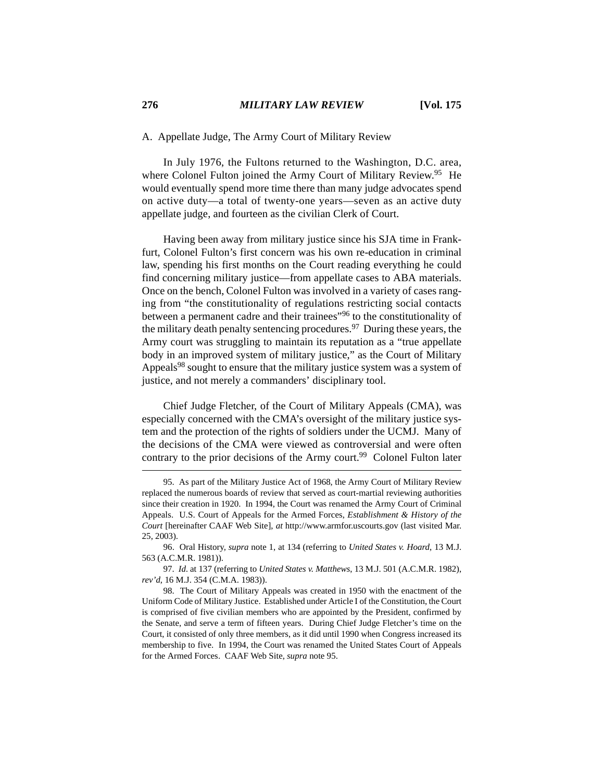#### A. Appellate Judge, The Army Court of Military Review

In July 1976, the Fultons returned to the Washington, D.C. area, where Colonel Fulton joined the Army Court of Military Review.<sup>95</sup> He would eventually spend more time there than many judge advocates spend on active duty—a total of twenty-one years—seven as an active duty appellate judge, and fourteen as the civilian Clerk of Court.

Having been away from military justice since his SJA time in Frankfurt, Colonel Fulton's first concern was his own re-education in criminal law, spending his first months on the Court reading everything he could find concerning military justice—from appellate cases to ABA materials. Once on the bench, Colonel Fulton was involved in a variety of cases ranging from "the constitutionality of regulations restricting social contacts between a permanent cadre and their trainees<sup>"96</sup> to the constitutionality of the military death penalty sentencing procedures.<sup>97</sup> During these years, the Army court was struggling to maintain its reputation as a "true appellate body in an improved system of military justice," as the Court of Military Appeals<sup>98</sup> sought to ensure that the military justice system was a system of justice, and not merely a commanders' disciplinary tool.

Chief Judge Fletcher, of the Court of Military Appeals (CMA), was especially concerned with the CMA's oversight of the military justice system and the protection of the rights of soldiers under the UCMJ. Many of the decisions of the CMA were viewed as controversial and were often contrary to the prior decisions of the Army court.<sup>99</sup> Colonel Fulton later

<sup>95.</sup> As part of the Military Justice Act of 1968, the Army Court of Military Review replaced the numerous boards of review that served as court-martial reviewing authorities since their creation in 1920. In 1994, the Court was renamed the Army Court of Criminal Appeals. U.S. Court of Appeals for the Armed Forces, *Establishment & History of the Court* [hereinafter CAAF Web Site], *at* http://www.armfor.uscourts.gov (last visited Mar. 25, 2003).

<sup>96.</sup> Oral History*, supra* note 1, at 134 (referring to *United States v. Hoard*, 13 M.J. 563 (A.C.M.R. 1981)).

<sup>97.</sup> *Id.* at 137 (referring to *United States v. Matthews*, 13 M.J. 501 (A.C.M.R. 1982), *rev'd*, 16 M.J. 354 (C.M.A. 1983)).

<sup>98.</sup> The Court of Military Appeals was created in 1950 with the enactment of the Uniform Code of Military Justice. Established under Article I of the Constitution, the Court is comprised of five civilian members who are appointed by the President, confirmed by the Senate, and serve a term of fifteen years. During Chief Judge Fletcher's time on the Court, it consisted of only three members, as it did until 1990 when Congress increased its membership to five. In 1994, the Court was renamed the United States Court of Appeals for the Armed Forces. CAAF Web Site, *supra* note 95.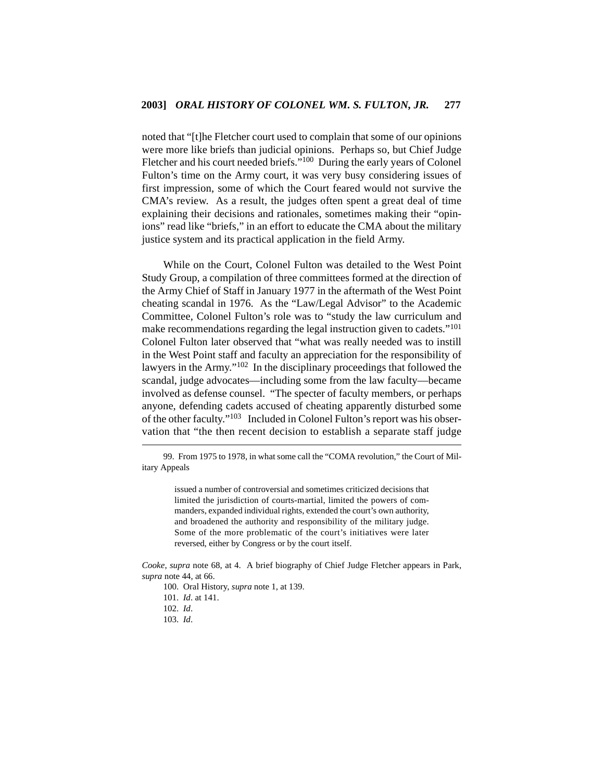noted that "[t]he Fletcher court used to complain that some of our opinions were more like briefs than judicial opinions. Perhaps so, but Chief Judge Fletcher and his court needed briefs."<sup>100</sup> During the early years of Colonel Fulton's time on the Army court, it was very busy considering issues of first impression, some of which the Court feared would not survive the CMA's review. As a result, the judges often spent a great deal of time explaining their decisions and rationales, sometimes making their "opinions" read like "briefs," in an effort to educate the CMA about the military justice system and its practical application in the field Army.

While on the Court, Colonel Fulton was detailed to the West Point Study Group, a compilation of three committees formed at the direction of the Army Chief of Staff in January 1977 in the aftermath of the West Point cheating scandal in 1976. As the "Law/Legal Advisor" to the Academic Committee, Colonel Fulton's role was to "study the law curriculum and make recommendations regarding the legal instruction given to cadets."<sup>101</sup> Colonel Fulton later observed that "what was really needed was to instill in the West Point staff and faculty an appreciation for the responsibility of lawyers in the Army."102 In the disciplinary proceedings that followed the scandal, judge advocates—including some from the law faculty—became involved as defense counsel. "The specter of faculty members, or perhaps anyone, defending cadets accused of cheating apparently disturbed some of the other faculty."103 Included in Colonel Fulton's report was his observation that "the then recent decision to establish a separate staff judge

issued a number of controversial and sometimes criticized decisions that limited the jurisdiction of courts-martial, limited the powers of commanders, expanded individual rights, extended the court's own authority, and broadened the authority and responsibility of the military judge. Some of the more problematic of the court's initiatives were later reversed, either by Congress or by the court itself.

*Cooke*, *supra* note 68, at 4. A brief biography of Chief Judge Fletcher appears in Park, *supra* note 44, at 66.

- 100. Oral History, *supra* note 1, at 139.
- 101. *Id*. at 141.
- 102. *Id*.
- 103. *Id*.

<sup>99.</sup> From 1975 to 1978, in what some call the "COMA revolution," the Court of Military Appeals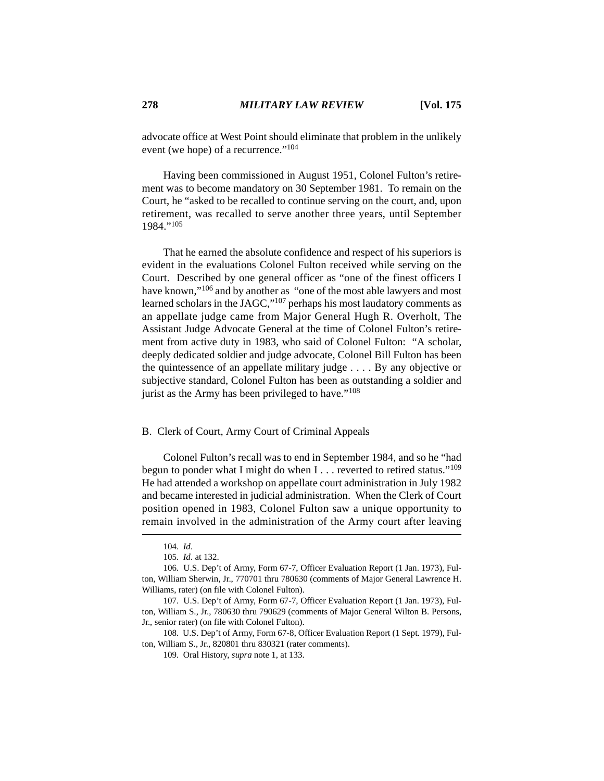advocate office at West Point should eliminate that problem in the unlikely event (we hope) of a recurrence."<sup>104</sup>

Having been commissioned in August 1951, Colonel Fulton's retirement was to become mandatory on 30 September 1981. To remain on the Court, he "asked to be recalled to continue serving on the court, and, upon retirement, was recalled to serve another three years, until September 1984."105

That he earned the absolute confidence and respect of his superiors is evident in the evaluations Colonel Fulton received while serving on the Court. Described by one general officer as "one of the finest officers I have known,"106 and by another as "one of the most able lawyers and most learned scholars in the JAGC,"107 perhaps his most laudatory comments as an appellate judge came from Major General Hugh R. Overholt, The Assistant Judge Advocate General at the time of Colonel Fulton's retirement from active duty in 1983, who said of Colonel Fulton: "A scholar, deeply dedicated soldier and judge advocate, Colonel Bill Fulton has been the quintessence of an appellate military judge . . . . By any objective or subjective standard, Colonel Fulton has been as outstanding a soldier and jurist as the Army has been privileged to have."<sup>108</sup>

## B. Clerk of Court, Army Court of Criminal Appeals

Colonel Fulton's recall was to end in September 1984, and so he "had begun to ponder what I might do when I . . . reverted to retired status."<sup>109</sup> He had attended a workshop on appellate court administration in July 1982 and became interested in judicial administration. When the Clerk of Court position opened in 1983, Colonel Fulton saw a unique opportunity to remain involved in the administration of the Army court after leaving

108. U.S. Dep't of Army, Form 67-8, Officer Evaluation Report (1 Sept. 1979), Fulton, William S., Jr., 820801 thru 830321 (rater comments).

<sup>104.</sup> *Id*.

<sup>105.</sup> *Id*. at 132.

<sup>106.</sup> U.S. Dep't of Army, Form 67-7, Officer Evaluation Report (1 Jan. 1973), Fulton, William Sherwin, Jr., 770701 thru 780630 (comments of Major General Lawrence H. Williams, rater) (on file with Colonel Fulton).

<sup>107.</sup> U.S. Dep't of Army, Form 67-7, Officer Evaluation Report (1 Jan. 1973), Fulton, William S., Jr., 780630 thru 790629 (comments of Major General Wilton B. Persons, Jr., senior rater) (on file with Colonel Fulton).

<sup>109.</sup> Oral History, *supra* note 1, at 133.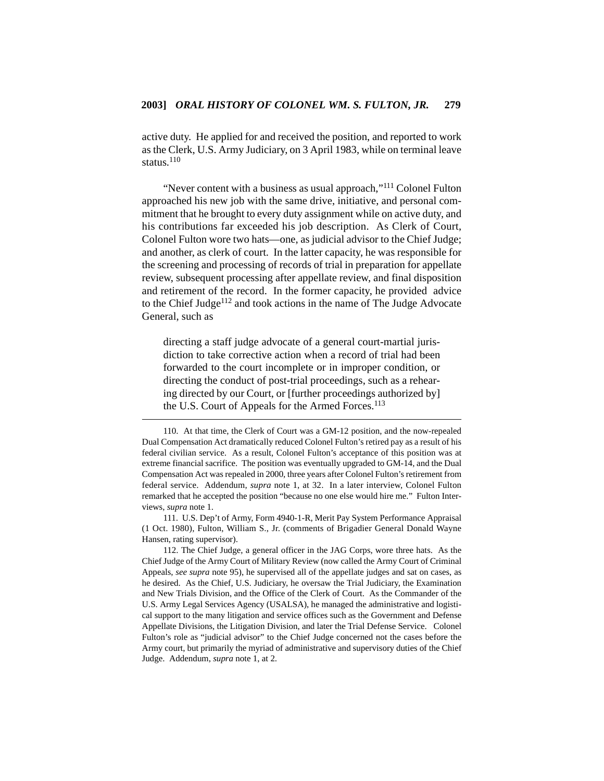active duty. He applied for and received the position, and reported to work as the Clerk, U.S. Army Judiciary, on 3 April 1983, while on terminal leave status.<sup>110</sup>

"Never content with a business as usual approach,"111 Colonel Fulton approached his new job with the same drive, initiative, and personal commitment that he brought to every duty assignment while on active duty, and his contributions far exceeded his job description. As Clerk of Court, Colonel Fulton wore two hats—one, as judicial advisor to the Chief Judge; and another, as clerk of court. In the latter capacity, he was responsible for the screening and processing of records of trial in preparation for appellate review, subsequent processing after appellate review, and final disposition and retirement of the record. In the former capacity, he provided advice to the Chief Judge<sup>112</sup> and took actions in the name of The Judge Advocate General, such as

directing a staff judge advocate of a general court-martial jurisdiction to take corrective action when a record of trial had been forwarded to the court incomplete or in improper condition, or directing the conduct of post-trial proceedings, such as a rehearing directed by our Court, or [further proceedings authorized by] the U.S. Court of Appeals for the Armed Forces.<sup>113</sup>

111. U.S. Dep't of Army, Form 4940-1-R, Merit Pay System Performance Appraisal (1 Oct. 1980), Fulton, William S., Jr. (comments of Brigadier General Donald Wayne Hansen, rating supervisor).

<sup>110.</sup> At that time, the Clerk of Court was a GM-12 position, and the now-repealed Dual Compensation Act dramatically reduced Colonel Fulton's retired pay as a result of his federal civilian service. As a result, Colonel Fulton's acceptance of this position was at extreme financial sacrifice. The position was eventually upgraded to GM-14, and the Dual Compensation Act was repealed in 2000, three years after Colonel Fulton's retirement from federal service. Addendum, *supra* note 1, at 32. In a later interview, Colonel Fulton remarked that he accepted the position "because no one else would hire me." Fulton Interviews, *supra* note 1.

<sup>112.</sup> The Chief Judge, a general officer in the JAG Corps, wore three hats. As the Chief Judge of the Army Court of Military Review (now called the Army Court of Criminal Appeals, *see supra* note 95), he supervised all of the appellate judges and sat on cases, as he desired. As the Chief, U.S. Judiciary, he oversaw the Trial Judiciary, the Examination and New Trials Division, and the Office of the Clerk of Court. As the Commander of the U.S. Army Legal Services Agency (USALSA), he managed the administrative and logistical support to the many litigation and service offices such as the Government and Defense Appellate Divisions, the Litigation Division, and later the Trial Defense Service. Colonel Fulton's role as "judicial advisor" to the Chief Judge concerned not the cases before the Army court, but primarily the myriad of administrative and supervisory duties of the Chief Judge. Addendum, *supra* note 1, at 2.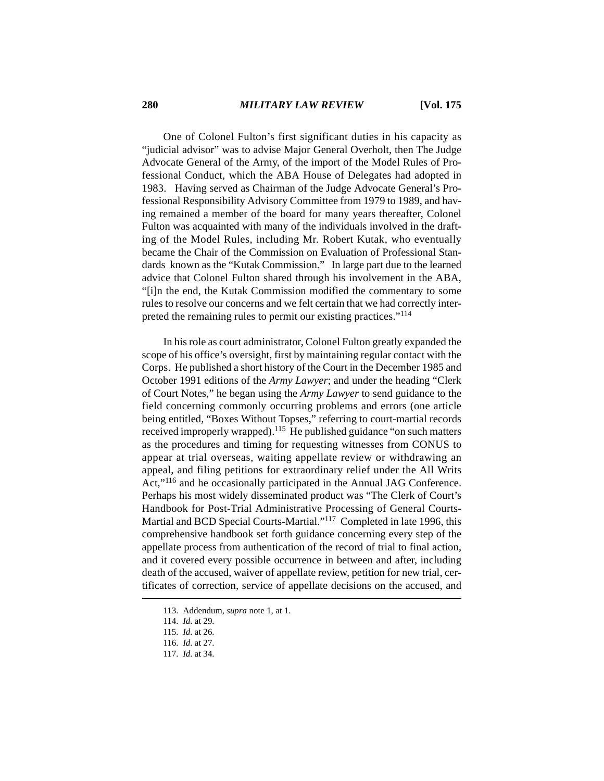One of Colonel Fulton's first significant duties in his capacity as "judicial advisor" was to advise Major General Overholt, then The Judge Advocate General of the Army, of the import of the Model Rules of Professional Conduct, which the ABA House of Delegates had adopted in 1983. Having served as Chairman of the Judge Advocate General's Professional Responsibility Advisory Committee from 1979 to 1989, and having remained a member of the board for many years thereafter, Colonel Fulton was acquainted with many of the individuals involved in the drafting of the Model Rules, including Mr. Robert Kutak, who eventually became the Chair of the Commission on Evaluation of Professional Standards known as the "Kutak Commission." In large part due to the learned advice that Colonel Fulton shared through his involvement in the ABA, "[i]n the end, the Kutak Commission modified the commentary to some rules to resolve our concerns and we felt certain that we had correctly interpreted the remaining rules to permit our existing practices."<sup>114</sup>

In his role as court administrator, Colonel Fulton greatly expanded the scope of his office's oversight, first by maintaining regular contact with the Corps. He published a short history of the Court in the December 1985 and October 1991 editions of the *Army Lawyer*; and under the heading "Clerk of Court Notes," he began using the *Army Lawyer* to send guidance to the field concerning commonly occurring problems and errors (one article being entitled, "Boxes Without Topses," referring to court-martial records received improperly wrapped).115 He published guidance "on such matters as the procedures and timing for requesting witnesses from CONUS to appear at trial overseas, waiting appellate review or withdrawing an appeal, and filing petitions for extraordinary relief under the All Writs Act,"116 and he occasionally participated in the Annual JAG Conference. Perhaps his most widely disseminated product was "The Clerk of Court's Handbook for Post-Trial Administrative Processing of General Courts-Martial and BCD Special Courts-Martial."117 Completed in late 1996, this comprehensive handbook set forth guidance concerning every step of the appellate process from authentication of the record of trial to final action, and it covered every possible occurrence in between and after, including death of the accused, waiver of appellate review, petition for new trial, certificates of correction, service of appellate decisions on the accused, and

<sup>113.</sup> Addendum, *supra* note 1, at 1.

<sup>114.</sup> *Id*. at 29.

<sup>115.</sup> *Id*. at 26.

<sup>116.</sup> *Id*. at 27.

<sup>117.</sup> *Id*. at 34.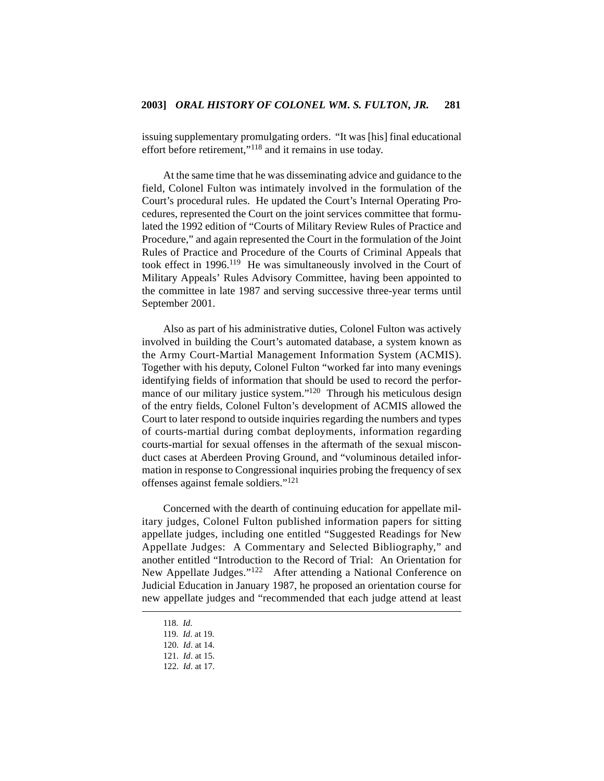issuing supplementary promulgating orders. "It was [his] final educational effort before retirement,"118 and it remains in use today.

At the same time that he was disseminating advice and guidance to the field, Colonel Fulton was intimately involved in the formulation of the Court's procedural rules. He updated the Court's Internal Operating Procedures, represented the Court on the joint services committee that formulated the 1992 edition of "Courts of Military Review Rules of Practice and Procedure," and again represented the Court in the formulation of the Joint Rules of Practice and Procedure of the Courts of Criminal Appeals that took effect in 1996.119 He was simultaneously involved in the Court of Military Appeals' Rules Advisory Committee, having been appointed to the committee in late 1987 and serving successive three-year terms until September 2001.

Also as part of his administrative duties, Colonel Fulton was actively involved in building the Court's automated database, a system known as the Army Court-Martial Management Information System (ACMIS). Together with his deputy, Colonel Fulton "worked far into many evenings identifying fields of information that should be used to record the performance of our military justice system."<sup>120</sup> Through his meticulous design of the entry fields, Colonel Fulton's development of ACMIS allowed the Court to later respond to outside inquiries regarding the numbers and types of courts-martial during combat deployments, information regarding courts-martial for sexual offenses in the aftermath of the sexual misconduct cases at Aberdeen Proving Ground, and "voluminous detailed information in response to Congressional inquiries probing the frequency of sex offenses against female soldiers."121

Concerned with the dearth of continuing education for appellate military judges, Colonel Fulton published information papers for sitting appellate judges, including one entitled "Suggested Readings for New Appellate Judges: A Commentary and Selected Bibliography," and another entitled "Introduction to the Record of Trial: An Orientation for New Appellate Judges."122 After attending a National Conference on Judicial Education in January 1987, he proposed an orientation course for new appellate judges and "recommended that each judge attend at least

<sup>118.</sup> *Id*.

<sup>119.</sup> *Id*. at 19.

<sup>120.</sup> *Id*. at 14.

<sup>121.</sup> *Id*. at 15.

<sup>122.</sup> *Id*. at 17.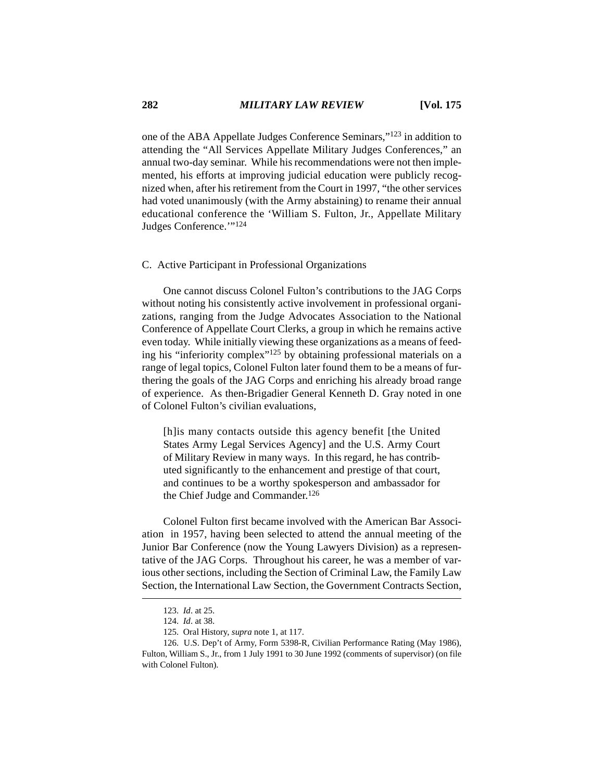one of the ABA Appellate Judges Conference Seminars,"123 in addition to attending the "All Services Appellate Military Judges Conferences," an annual two-day seminar. While his recommendations were not then implemented, his efforts at improving judicial education were publicly recognized when, after his retirement from the Court in 1997, "the other services had voted unanimously (with the Army abstaining) to rename their annual educational conference the 'William S. Fulton, Jr., Appellate Military Judges Conference.'"124

## C. Active Participant in Professional Organizations

One cannot discuss Colonel Fulton's contributions to the JAG Corps without noting his consistently active involvement in professional organizations, ranging from the Judge Advocates Association to the National Conference of Appellate Court Clerks, a group in which he remains active even today. While initially viewing these organizations as a means of feeding his "inferiority complex"125 by obtaining professional materials on a range of legal topics, Colonel Fulton later found them to be a means of furthering the goals of the JAG Corps and enriching his already broad range of experience. As then-Brigadier General Kenneth D. Gray noted in one of Colonel Fulton's civilian evaluations,

[h]is many contacts outside this agency benefit [the United States Army Legal Services Agency] and the U.S. Army Court of Military Review in many ways. In this regard, he has contributed significantly to the enhancement and prestige of that court, and continues to be a worthy spokesperson and ambassador for the Chief Judge and Commander.<sup>126</sup>

Colonel Fulton first became involved with the American Bar Association in 1957, having been selected to attend the annual meeting of the Junior Bar Conference (now the Young Lawyers Division) as a representative of the JAG Corps. Throughout his career, he was a member of various other sections, including the Section of Criminal Law, the Family Law Section, the International Law Section, the Government Contracts Section,

<sup>123.</sup> *Id*. at 25.

<sup>124.</sup> *Id*. at 38.

<sup>125.</sup> Oral History, *supra* note 1, at 117.

<sup>126.</sup> U.S. Dep't of Army, Form 5398-R, Civilian Performance Rating (May 1986), Fulton, William S., Jr., from 1 July 1991 to 30 June 1992 (comments of supervisor) (on file with Colonel Fulton).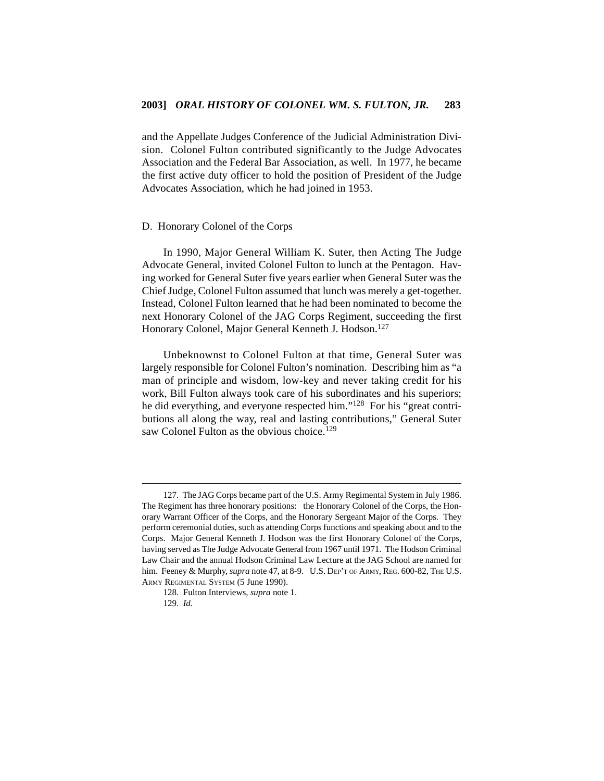and the Appellate Judges Conference of the Judicial Administration Division. Colonel Fulton contributed significantly to the Judge Advocates Association and the Federal Bar Association, as well. In 1977, he became the first active duty officer to hold the position of President of the Judge Advocates Association, which he had joined in 1953.

#### D. Honorary Colonel of the Corps

In 1990, Major General William K. Suter, then Acting The Judge Advocate General, invited Colonel Fulton to lunch at the Pentagon. Having worked for General Suter five years earlier when General Suter was the Chief Judge, Colonel Fulton assumed that lunch was merely a get-together. Instead, Colonel Fulton learned that he had been nominated to become the next Honorary Colonel of the JAG Corps Regiment, succeeding the first Honorary Colonel, Major General Kenneth J. Hodson.<sup>127</sup>

Unbeknownst to Colonel Fulton at that time, General Suter was largely responsible for Colonel Fulton's nomination. Describing him as "a man of principle and wisdom, low-key and never taking credit for his work, Bill Fulton always took care of his subordinates and his superiors; he did everything, and everyone respected him."128 For his "great contributions all along the way, real and lasting contributions," General Suter saw Colonel Fulton as the obvious choice.<sup>129</sup>

<sup>127.</sup> The JAG Corps became part of the U.S. Army Regimental System in July 1986. The Regiment has three honorary positions: the Honorary Colonel of the Corps, the Honorary Warrant Officer of the Corps, and the Honorary Sergeant Major of the Corps. They perform ceremonial duties, such as attending Corps functions and speaking about and to the Corps. Major General Kenneth J. Hodson was the first Honorary Colonel of the Corps, having served as The Judge Advocate General from 1967 until 1971. The Hodson Criminal Law Chair and the annual Hodson Criminal Law Lecture at the JAG School are named for him. Feeney & Murphy, *supra* note 47, at 8-9. U.S. DEP'T OF ARMY, REG. 600-82, THE U.S. ARMY REGIMENTAL SYSTEM (5 June 1990).

<sup>128.</sup> Fulton Interviews, *supra* note 1.

<sup>129.</sup> *Id.*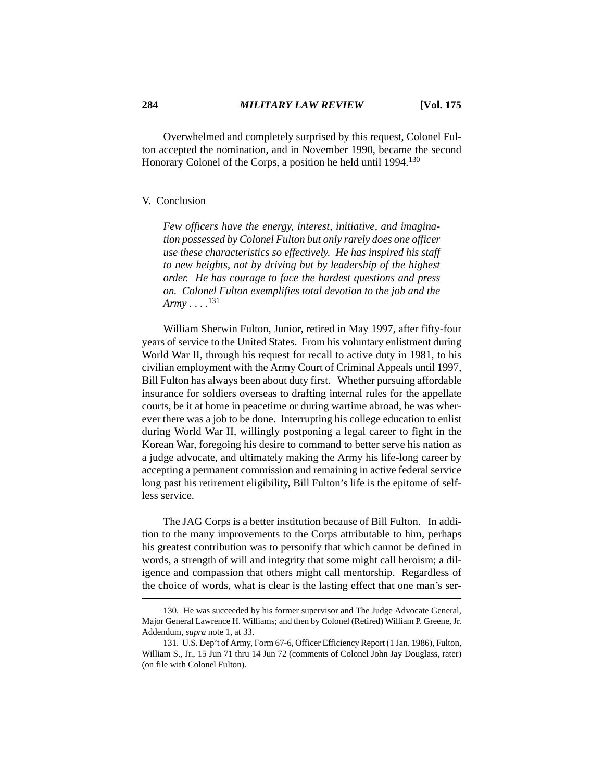Overwhelmed and completely surprised by this request, Colonel Fulton accepted the nomination, and in November 1990, became the second Honorary Colonel of the Corps, a position he held until 1994.<sup>130</sup>

#### V. Conclusion

*Few officers have the energy, interest, initiative, and imagination possessed by Colonel Fulton but only rarely does one officer use these characteristics so effectively. He has inspired his staff to new heights, not by driving but by leadership of the highest order. He has courage to face the hardest questions and press on. Colonel Fulton exemplifies total devotion to the job and the Army . . . .*<sup>131</sup>

William Sherwin Fulton, Junior, retired in May 1997, after fifty-four years of service to the United States. From his voluntary enlistment during World War II, through his request for recall to active duty in 1981, to his civilian employment with the Army Court of Criminal Appeals until 1997, Bill Fulton has always been about duty first. Whether pursuing affordable insurance for soldiers overseas to drafting internal rules for the appellate courts, be it at home in peacetime or during wartime abroad, he was wherever there was a job to be done. Interrupting his college education to enlist during World War II, willingly postponing a legal career to fight in the Korean War, foregoing his desire to command to better serve his nation as a judge advocate, and ultimately making the Army his life-long career by accepting a permanent commission and remaining in active federal service long past his retirement eligibility, Bill Fulton's life is the epitome of selfless service.

The JAG Corps is a better institution because of Bill Fulton. In addition to the many improvements to the Corps attributable to him, perhaps his greatest contribution was to personify that which cannot be defined in words, a strength of will and integrity that some might call heroism; a diligence and compassion that others might call mentorship. Regardless of the choice of words, what is clear is the lasting effect that one man's ser-

<sup>130.</sup> He was succeeded by his former supervisor and The Judge Advocate General, Major General Lawrence H. Williams; and then by Colonel (Retired) William P. Greene, Jr. Addendum, *supra* note 1, at 33.

<sup>131.</sup> U.S. Dep't of Army, Form 67-6, Officer Efficiency Report (1 Jan. 1986), Fulton, William S., Jr., 15 Jun 71 thru 14 Jun 72 (comments of Colonel John Jay Douglass, rater) (on file with Colonel Fulton).